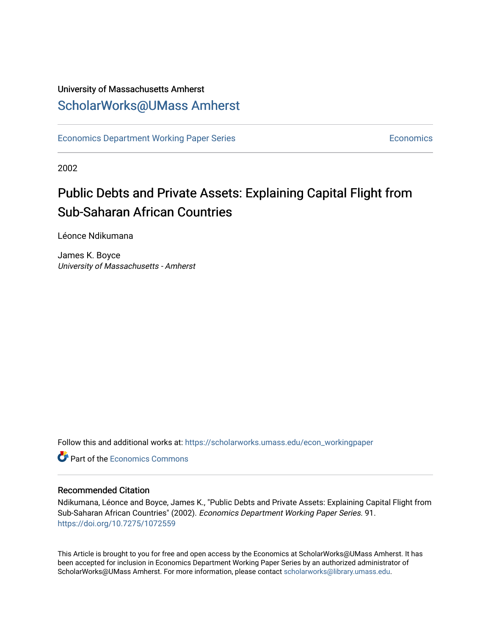# University of Massachusetts Amherst [ScholarWorks@UMass Amherst](https://scholarworks.umass.edu/)

[Economics Department Working Paper Series](https://scholarworks.umass.edu/econ_workingpaper) **Economics** [Economics](https://scholarworks.umass.edu/economics) Economics

2002

# Public Debts and Private Assets: Explaining Capital Flight from Sub-Saharan African Countries

Léonce Ndikumana

James K. Boyce University of Massachusetts - Amherst

Follow this and additional works at: [https://scholarworks.umass.edu/econ\\_workingpaper](https://scholarworks.umass.edu/econ_workingpaper?utm_source=scholarworks.umass.edu%2Fecon_workingpaper%2F91&utm_medium=PDF&utm_campaign=PDFCoverPages) 

**C** Part of the [Economics Commons](http://network.bepress.com/hgg/discipline/340?utm_source=scholarworks.umass.edu%2Fecon_workingpaper%2F91&utm_medium=PDF&utm_campaign=PDFCoverPages)

# Recommended Citation

Ndikumana, Léonce and Boyce, James K., "Public Debts and Private Assets: Explaining Capital Flight from Sub-Saharan African Countries" (2002). Economics Department Working Paper Series. 91. <https://doi.org/10.7275/1072559>

This Article is brought to you for free and open access by the Economics at ScholarWorks@UMass Amherst. It has been accepted for inclusion in Economics Department Working Paper Series by an authorized administrator of ScholarWorks@UMass Amherst. For more information, please contact [scholarworks@library.umass.edu.](mailto:scholarworks@library.umass.edu)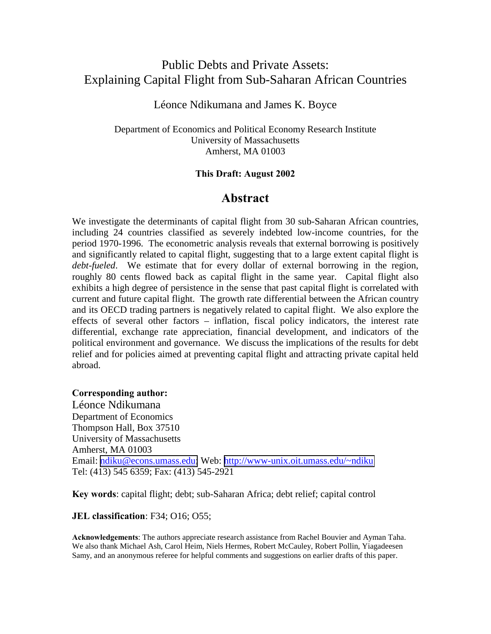# Public Debts and Private Assets: Explaining Capital Flight from Sub-Saharan African Countries

# Léonce Ndikumana and James K. Boyce

Department of Economics and Political Economy Research Institute University of Massachusetts Amherst, MA 01003

# **This Draft: August 2002**

# **Abstract**

We investigate the determinants of capital flight from 30 sub-Saharan African countries, including 24 countries classified as severely indebted low-income countries, for the period 1970-1996. The econometric analysis reveals that external borrowing is positively and significantly related to capital flight, suggesting that to a large extent capital flight is *debt-fueled*. We estimate that for every dollar of external borrowing in the region, roughly 80 cents flowed back as capital flight in the same year. Capital flight also exhibits a high degree of persistence in the sense that past capital flight is correlated with current and future capital flight. The growth rate differential between the African country and its OECD trading partners is negatively related to capital flight. We also explore the effects of several other factors – inflation, fiscal policy indicators, the interest rate differential, exchange rate appreciation, financial development, and indicators of the political environment and governance. We discuss the implications of the results for debt relief and for policies aimed at preventing capital flight and attracting private capital held abroad.

# **Corresponding author:**

Léonce Ndikumana Department of Economics Thompson Hall, Box 37510 University of Massachusetts Amherst, MA 01003 Email: [ndiku@econs.umass.edu;](mailto:ndiku@econs.umass.edu) Web: <http://www-unix.oit.umass.edu/~ndiku> Tel: (413) 545 6359; Fax: (413) 545-2921

**Key words**: capital flight; debt; sub-Saharan Africa; debt relief; capital control

# **JEL classification**: F34; O16; O55;

**Acknowledgements**: The authors appreciate research assistance from Rachel Bouvier and Ayman Taha. We also thank Michael Ash, Carol Heim, Niels Hermes, Robert McCauley, Robert Pollin, Yiagadeesen Samy, and an anonymous referee for helpful comments and suggestions on earlier drafts of this paper.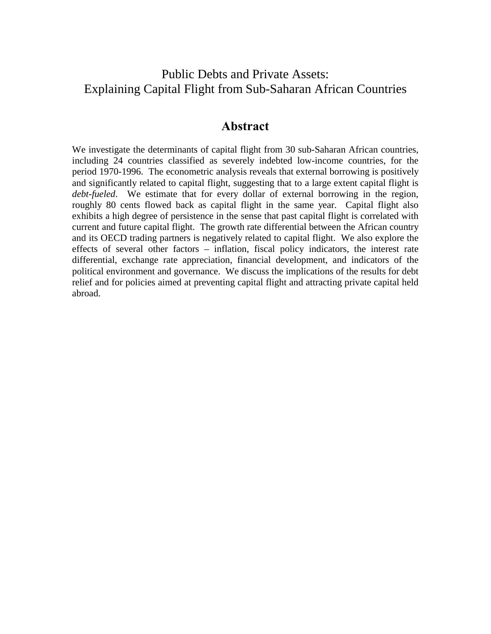# Public Debts and Private Assets: Explaining Capital Flight from Sub-Saharan African Countries

# **Abstract**

We investigate the determinants of capital flight from 30 sub-Saharan African countries, including 24 countries classified as severely indebted low-income countries, for the period 1970-1996. The econometric analysis reveals that external borrowing is positively and significantly related to capital flight, suggesting that to a large extent capital flight is *debt-fueled*. We estimate that for every dollar of external borrowing in the region, roughly 80 cents flowed back as capital flight in the same year. Capital flight also exhibits a high degree of persistence in the sense that past capital flight is correlated with current and future capital flight. The growth rate differential between the African country and its OECD trading partners is negatively related to capital flight. We also explore the effects of several other factors – inflation, fiscal policy indicators, the interest rate differential, exchange rate appreciation, financial development, and indicators of the political environment and governance. We discuss the implications of the results for debt relief and for policies aimed at preventing capital flight and attracting private capital held abroad.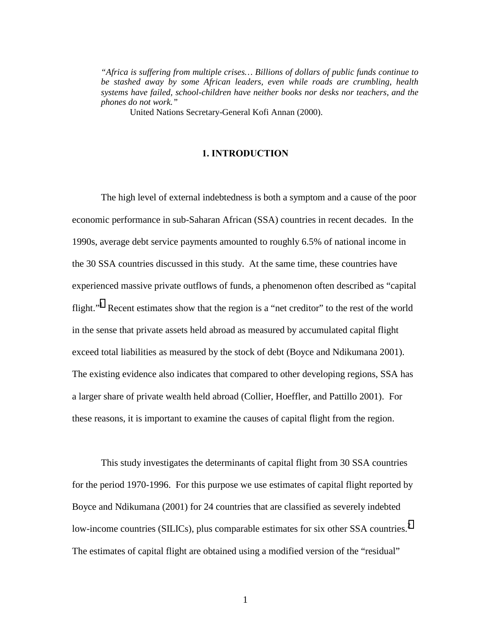*"Africa is suffering from multiple crises… Billions of dollars of public funds continue to be stashed away by some African leaders, even while roads are crumbling, health systems have failed, school-children have neither books nor desks nor teachers, and the phones do not work."* 

United Nations Secretary-General Kofi Annan (2000).

### **1. INTRODUCTION**

The high level of external indebtedness is both a symptom and a cause of the poor economic performance in sub-Saharan African (SSA) countries in recent decades. In the 1990s, average debt service payments amounted to roughly 6.5% of national income in the 30 SSA countries discussed in this study. At the same time, these countries have experienced massive private outflows of funds, a phenomenon often described as "capital flight."<sup>[1](#page-39-0)</sup> Recent estimates show that the region is a "net creditor" to the rest of the world in the sense that private assets held abroad as measured by accumulated capital flight exceed total liabilities as measured by the stock of debt (Boyce and Ndikumana 2001). The existing evidence also indicates that compared to other developing regions, SSA has a larger share of private wealth held abroad (Collier, Hoeffler, and Pattillo 2001). For these reasons, it is important to examine the causes of capital flight from the region.

This study investigates the determinants of capital flight from 30 SSA countries for the period 1970-1996. For this purpose we use estimates of capital flight reported by Boyce and Ndikumana (2001) for 24 countries that are classified as severely indebted low-income countries (SILICs), plus comparable estimates for six other SSA countries. $2$ The estimates of capital flight are obtained using a modified version of the "residual"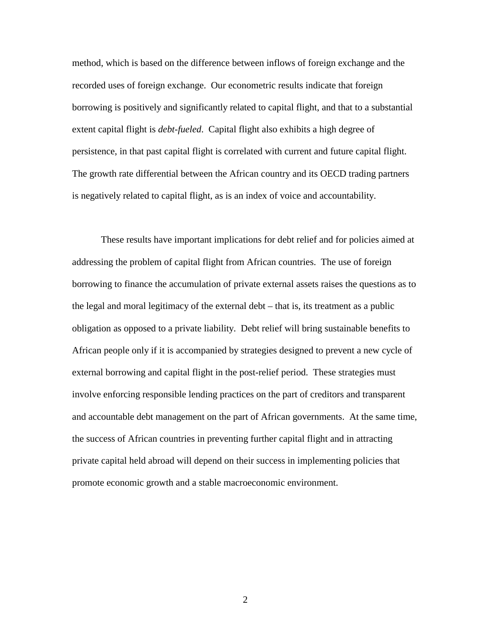method, which is based on the difference between inflows of foreign exchange and the recorded uses of foreign exchange. Our econometric results indicate that foreign borrowing is positively and significantly related to capital flight, and that to a substantial extent capital flight is *debt-fueled*. Capital flight also exhibits a high degree of persistence, in that past capital flight is correlated with current and future capital flight. The growth rate differential between the African country and its OECD trading partners is negatively related to capital flight, as is an index of voice and accountability.

 These results have important implications for debt relief and for policies aimed at addressing the problem of capital flight from African countries. The use of foreign borrowing to finance the accumulation of private external assets raises the questions as to the legal and moral legitimacy of the external debt – that is, its treatment as a public obligation as opposed to a private liability. Debt relief will bring sustainable benefits to African people only if it is accompanied by strategies designed to prevent a new cycle of external borrowing and capital flight in the post-relief period. These strategies must involve enforcing responsible lending practices on the part of creditors and transparent and accountable debt management on the part of African governments. At the same time, the success of African countries in preventing further capital flight and in attracting private capital held abroad will depend on their success in implementing policies that promote economic growth and a stable macroeconomic environment.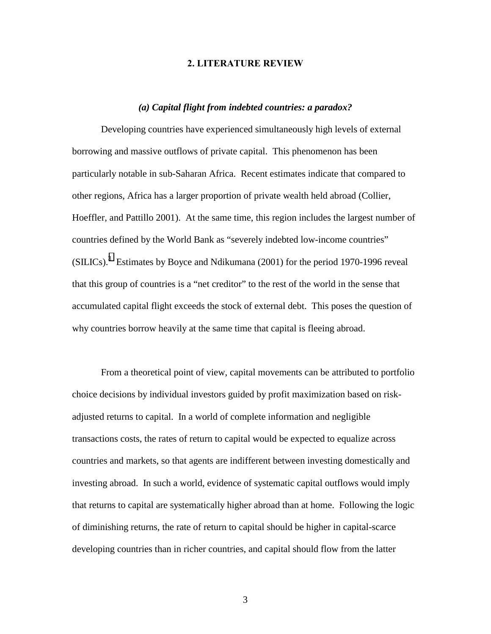### **2. LITERATURE REVIEW**

### *(a) Capital flight from indebted countries: a paradox?*

Developing countries have experienced simultaneously high levels of external borrowing and massive outflows of private capital. This phenomenon has been particularly notable in sub-Saharan Africa. Recent estimates indicate that compared to other regions, Africa has a larger proportion of private wealth held abroad (Collier, Hoeffler, and Pattillo 2001). At the same time, this region includes the largest number of countries defined by the World Bank as "severely indebted low-income countries"  $(SILICs).$ <sup>[3](#page-39-0)</sup> Estimates by Boyce and Ndikumana (2001) for the period 1970-1996 reveal that this group of countries is a "net creditor" to the rest of the world in the sense that accumulated capital flight exceeds the stock of external debt. This poses the question of why countries borrow heavily at the same time that capital is fleeing abroad.

From a theoretical point of view, capital movements can be attributed to portfolio choice decisions by individual investors guided by profit maximization based on riskadjusted returns to capital. In a world of complete information and negligible transactions costs, the rates of return to capital would be expected to equalize across countries and markets, so that agents are indifferent between investing domestically and investing abroad. In such a world, evidence of systematic capital outflows would imply that returns to capital are systematically higher abroad than at home. Following the logic of diminishing returns, the rate of return to capital should be higher in capital-scarce developing countries than in richer countries, and capital should flow from the latter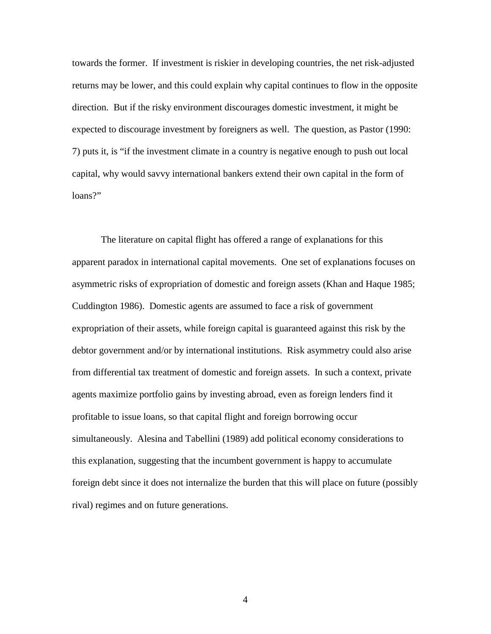towards the former. If investment is riskier in developing countries, the net risk-adjusted returns may be lower, and this could explain why capital continues to flow in the opposite direction. But if the risky environment discourages domestic investment, it might be expected to discourage investment by foreigners as well. The question, as Pastor (1990: 7) puts it, is "if the investment climate in a country is negative enough to push out local capital, why would savvy international bankers extend their own capital in the form of loans?"

The literature on capital flight has offered a range of explanations for this apparent paradox in international capital movements. One set of explanations focuses on asymmetric risks of expropriation of domestic and foreign assets (Khan and Haque 1985; Cuddington 1986). Domestic agents are assumed to face a risk of government expropriation of their assets, while foreign capital is guaranteed against this risk by the debtor government and/or by international institutions. Risk asymmetry could also arise from differential tax treatment of domestic and foreign assets. In such a context, private agents maximize portfolio gains by investing abroad, even as foreign lenders find it profitable to issue loans, so that capital flight and foreign borrowing occur simultaneously. Alesina and Tabellini (1989) add political economy considerations to this explanation, suggesting that the incumbent government is happy to accumulate foreign debt since it does not internalize the burden that this will place on future (possibly rival) regimes and on future generations.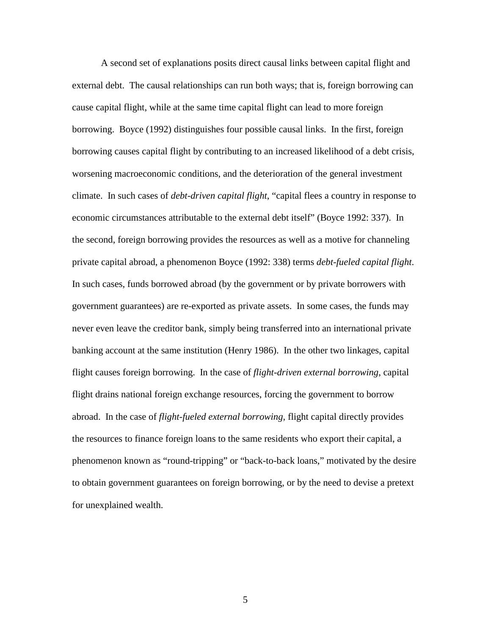A second set of explanations posits direct causal links between capital flight and external debt. The causal relationships can run both ways; that is, foreign borrowing can cause capital flight, while at the same time capital flight can lead to more foreign borrowing. Boyce (1992) distinguishes four possible causal links. In the first, foreign borrowing causes capital flight by contributing to an increased likelihood of a debt crisis, worsening macroeconomic conditions, and the deterioration of the general investment climate. In such cases of *debt-driven capital flight*, "capital flees a country in response to economic circumstances attributable to the external debt itself" (Boyce 1992: 337). In the second, foreign borrowing provides the resources as well as a motive for channeling private capital abroad, a phenomenon Boyce (1992: 338) terms *debt-fueled capital flight*. In such cases, funds borrowed abroad (by the government or by private borrowers with government guarantees) are re-exported as private assets. In some cases, the funds may never even leave the creditor bank, simply being transferred into an international private banking account at the same institution (Henry 1986). In the other two linkages, capital flight causes foreign borrowing. In the case of *flight-driven external borrowing*, capital flight drains national foreign exchange resources, forcing the government to borrow abroad. In the case of *flight-fueled external borrowing*, flight capital directly provides the resources to finance foreign loans to the same residents who export their capital, a phenomenon known as "round-tripping" or "back-to-back loans," motivated by the desire to obtain government guarantees on foreign borrowing, or by the need to devise a pretext for unexplained wealth.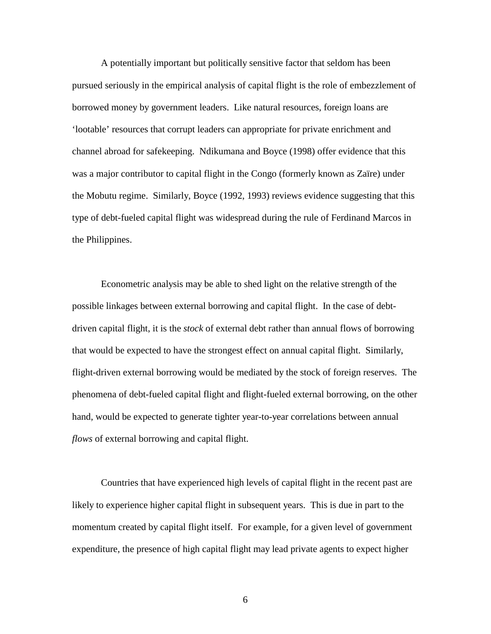A potentially important but politically sensitive factor that seldom has been pursued seriously in the empirical analysis of capital flight is the role of embezzlement of borrowed money by government leaders. Like natural resources, foreign loans are 'lootable' resources that corrupt leaders can appropriate for private enrichment and channel abroad for safekeeping. Ndikumana and Boyce (1998) offer evidence that this was a major contributor to capital flight in the Congo (formerly known as Zaïre) under the Mobutu regime. Similarly, Boyce (1992, 1993) reviews evidence suggesting that this type of debt-fueled capital flight was widespread during the rule of Ferdinand Marcos in the Philippines.

Econometric analysis may be able to shed light on the relative strength of the possible linkages between external borrowing and capital flight. In the case of debtdriven capital flight, it is the *stock* of external debt rather than annual flows of borrowing that would be expected to have the strongest effect on annual capital flight. Similarly, flight-driven external borrowing would be mediated by the stock of foreign reserves. The phenomena of debt-fueled capital flight and flight-fueled external borrowing, on the other hand, would be expected to generate tighter year-to-year correlations between annual *flows* of external borrowing and capital flight.

Countries that have experienced high levels of capital flight in the recent past are likely to experience higher capital flight in subsequent years. This is due in part to the momentum created by capital flight itself. For example, for a given level of government expenditure, the presence of high capital flight may lead private agents to expect higher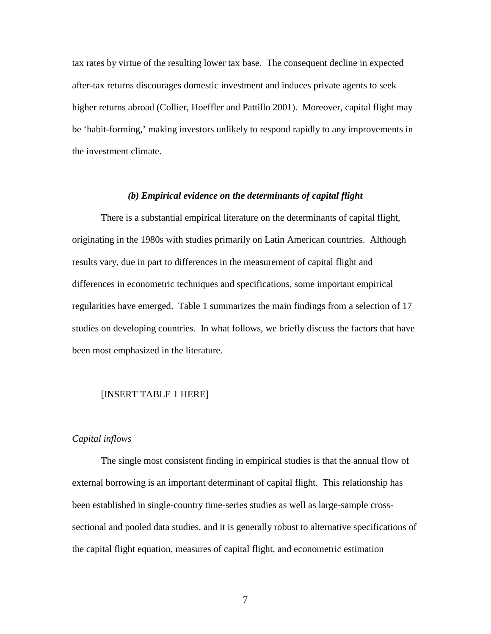tax rates by virtue of the resulting lower tax base. The consequent decline in expected after-tax returns discourages domestic investment and induces private agents to seek higher returns abroad (Collier, Hoeffler and Pattillo 2001). Moreover, capital flight may be 'habit-forming,' making investors unlikely to respond rapidly to any improvements in the investment climate.

# *(b) Empirical evidence on the determinants of capital flight*

There is a substantial empirical literature on the determinants of capital flight, originating in the 1980s with studies primarily on Latin American countries. Although results vary, due in part to differences in the measurement of capital flight and differences in econometric techniques and specifications, some important empirical regularities have emerged. Table 1 summarizes the main findings from a selection of 17 studies on developing countries. In what follows, we briefly discuss the factors that have been most emphasized in the literature.

#### [INSERT TABLE 1 HERE]

#### *Capital inflows*

 The single most consistent finding in empirical studies is that the annual flow of external borrowing is an important determinant of capital flight. This relationship has been established in single-country time-series studies as well as large-sample crosssectional and pooled data studies, and it is generally robust to alternative specifications of the capital flight equation, measures of capital flight, and econometric estimation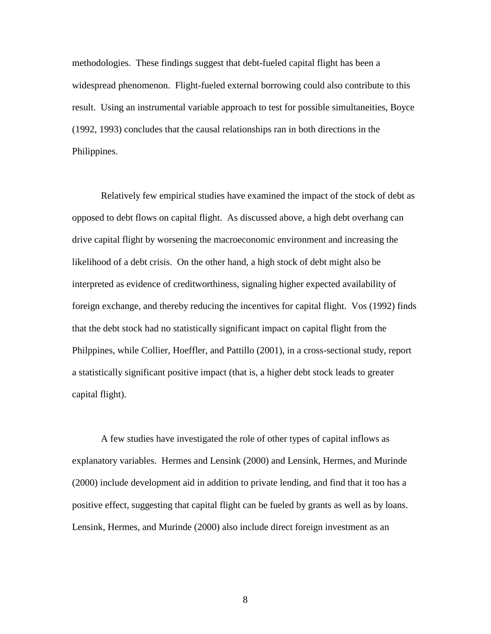methodologies. These findings suggest that debt-fueled capital flight has been a widespread phenomenon. Flight-fueled external borrowing could also contribute to this result. Using an instrumental variable approach to test for possible simultaneities, Boyce (1992, 1993) concludes that the causal relationships ran in both directions in the Philippines.

Relatively few empirical studies have examined the impact of the stock of debt as opposed to debt flows on capital flight. As discussed above, a high debt overhang can drive capital flight by worsening the macroeconomic environment and increasing the likelihood of a debt crisis. On the other hand, a high stock of debt might also be interpreted as evidence of creditworthiness, signaling higher expected availability of foreign exchange, and thereby reducing the incentives for capital flight. Vos (1992) finds that the debt stock had no statistically significant impact on capital flight from the Philppines, while Collier, Hoeffler, and Pattillo (2001), in a cross-sectional study, report a statistically significant positive impact (that is, a higher debt stock leads to greater capital flight).

 A few studies have investigated the role of other types of capital inflows as explanatory variables. Hermes and Lensink (2000) and Lensink, Hermes, and Murinde (2000) include development aid in addition to private lending, and find that it too has a positive effect, suggesting that capital flight can be fueled by grants as well as by loans. Lensink, Hermes, and Murinde (2000) also include direct foreign investment as an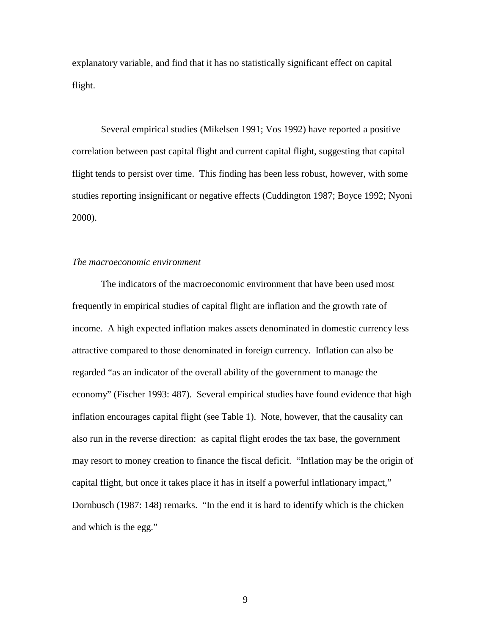explanatory variable, and find that it has no statistically significant effect on capital flight.

 Several empirical studies (Mikelsen 1991; Vos 1992) have reported a positive correlation between past capital flight and current capital flight, suggesting that capital flight tends to persist over time. This finding has been less robust, however, with some studies reporting insignificant or negative effects (Cuddington 1987; Boyce 1992; Nyoni 2000).

# *The macroeconomic environment*

The indicators of the macroeconomic environment that have been used most frequently in empirical studies of capital flight are inflation and the growth rate of income. A high expected inflation makes assets denominated in domestic currency less attractive compared to those denominated in foreign currency. Inflation can also be regarded "as an indicator of the overall ability of the government to manage the economy" (Fischer 1993: 487). Several empirical studies have found evidence that high inflation encourages capital flight (see Table 1). Note, however, that the causality can also run in the reverse direction: as capital flight erodes the tax base, the government may resort to money creation to finance the fiscal deficit. "Inflation may be the origin of capital flight, but once it takes place it has in itself a powerful inflationary impact," Dornbusch (1987: 148) remarks. "In the end it is hard to identify which is the chicken and which is the egg."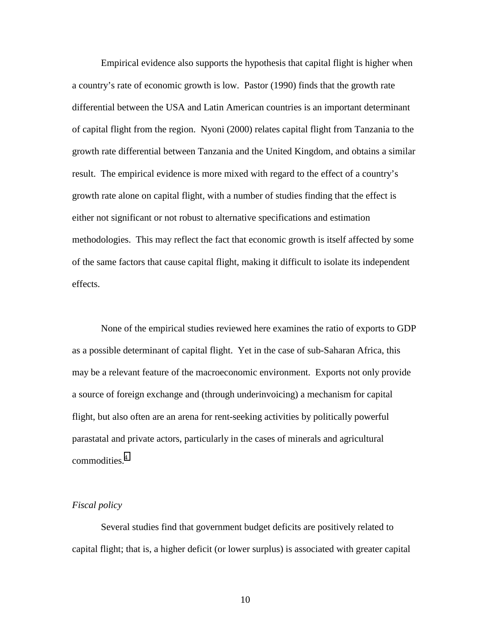Empirical evidence also supports the hypothesis that capital flight is higher when a country's rate of economic growth is low. Pastor (1990) finds that the growth rate differential between the USA and Latin American countries is an important determinant of capital flight from the region. Nyoni (2000) relates capital flight from Tanzania to the growth rate differential between Tanzania and the United Kingdom, and obtains a similar result. The empirical evidence is more mixed with regard to the effect of a country's growth rate alone on capital flight, with a number of studies finding that the effect is either not significant or not robust to alternative specifications and estimation methodologies. This may reflect the fact that economic growth is itself affected by some of the same factors that cause capital flight, making it difficult to isolate its independent effects.

 None of the empirical studies reviewed here examines the ratio of exports to GDP as a possible determinant of capital flight. Yet in the case of sub-Saharan Africa, this may be a relevant feature of the macroeconomic environment. Exports not only provide a source of foreign exchange and (through underinvoicing) a mechanism for capital flight, but also often are an arena for rent-seeking activities by politically powerful parastatal and private actors, particularly in the cases of minerals and agricultural commodities.<sup>4</sup>

#### *Fiscal policy*

Several studies find that government budget deficits are positively related to capital flight; that is, a higher deficit (or lower surplus) is associated with greater capital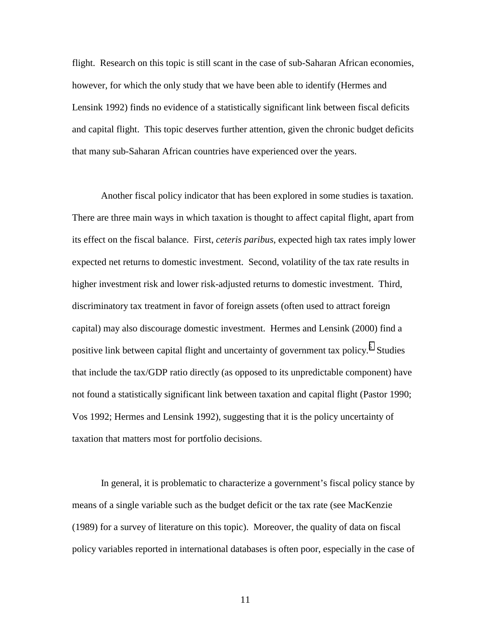flight. Research on this topic is still scant in the case of sub-Saharan African economies, however, for which the only study that we have been able to identify (Hermes and Lensink 1992) finds no evidence of a statistically significant link between fiscal deficits and capital flight. This topic deserves further attention, given the chronic budget deficits that many sub-Saharan African countries have experienced over the years.

 Another fiscal policy indicator that has been explored in some studies is taxation. There are three main ways in which taxation is thought to affect capital flight, apart from its effect on the fiscal balance. First, *ceteris paribus*, expected high tax rates imply lower expected net returns to domestic investment. Second, volatility of the tax rate results in higher investment risk and lower risk-adjusted returns to domestic investment. Third, discriminatory tax treatment in favor of foreign assets (often used to attract foreign capital) may also discourage domestic investment. Hermes and Lensink (2000) find a positive link between capital flight and uncertainty of government tax policy.<sup>[5](#page-39-0)</sup> Studies that include the tax/GDP ratio directly (as opposed to its unpredictable component) have not found a statistically significant link between taxation and capital flight (Pastor 1990; Vos 1992; Hermes and Lensink 1992), suggesting that it is the policy uncertainty of taxation that matters most for portfolio decisions.

In general, it is problematic to characterize a government's fiscal policy stance by means of a single variable such as the budget deficit or the tax rate (see MacKenzie (1989) for a survey of literature on this topic). Moreover, the quality of data on fiscal policy variables reported in international databases is often poor, especially in the case of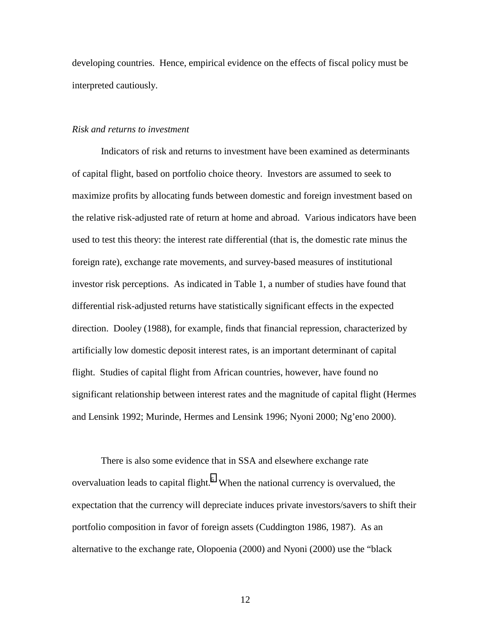developing countries. Hence, empirical evidence on the effects of fiscal policy must be interpreted cautiously.

### *Risk and returns to investment*

Indicators of risk and returns to investment have been examined as determinants of capital flight, based on portfolio choice theory. Investors are assumed to seek to maximize profits by allocating funds between domestic and foreign investment based on the relative risk-adjusted rate of return at home and abroad. Various indicators have been used to test this theory: the interest rate differential (that is, the domestic rate minus the foreign rate), exchange rate movements, and survey-based measures of institutional investor risk perceptions. As indicated in Table 1, a number of studies have found that differential risk-adjusted returns have statistically significant effects in the expected direction. Dooley (1988), for example, finds that financial repression, characterized by artificially low domestic deposit interest rates, is an important determinant of capital flight. Studies of capital flight from African countries, however, have found no significant relationship between interest rates and the magnitude of capital flight (Hermes and Lensink 1992; Murinde, Hermes and Lensink 1996; Nyoni 2000; Ng'eno 2000).

There is also some evidence that in SSA and elsewhere exchange rate overvaluation leads to capital flight. $<sup>6</sup>$  $<sup>6</sup>$  $<sup>6</sup>$  When the national currency is overvalued, the</sup> expectation that the currency will depreciate induces private investors/savers to shift their portfolio composition in favor of foreign assets (Cuddington 1986, 1987). As an alternative to the exchange rate, Olopoenia (2000) and Nyoni (2000) use the "black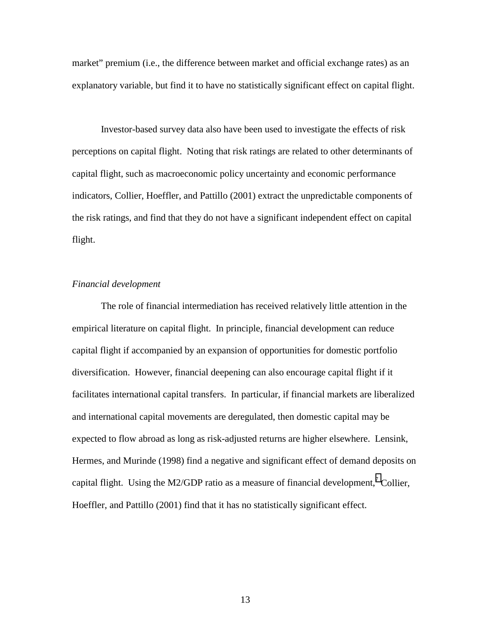market" premium (i.e., the difference between market and official exchange rates) as an explanatory variable, but find it to have no statistically significant effect on capital flight.

Investor-based survey data also have been used to investigate the effects of risk perceptions on capital flight. Noting that risk ratings are related to other determinants of capital flight, such as macroeconomic policy uncertainty and economic performance indicators, Collier, Hoeffler, and Pattillo (2001) extract the unpredictable components of the risk ratings, and find that they do not have a significant independent effect on capital flight.

# *Financial development*

The role of financial intermediation has received relatively little attention in the empirical literature on capital flight. In principle, financial development can reduce capital flight if accompanied by an expansion of opportunities for domestic portfolio diversification. However, financial deepening can also encourage capital flight if it facilitates international capital transfers. In particular, if financial markets are liberalized and international capital movements are deregulated, then domestic capital may be expected to flow abroad as long as risk-adjusted returns are higher elsewhere. Lensink, Hermes, and Murinde (1998) find a negative and significant effect of demand deposits on capital flight. Using the M2/GDP ratio as a measure of financial development,<sup>[7](#page-39-0)</sup> Collier, Hoeffler, and Pattillo (2001) find that it has no statistically significant effect.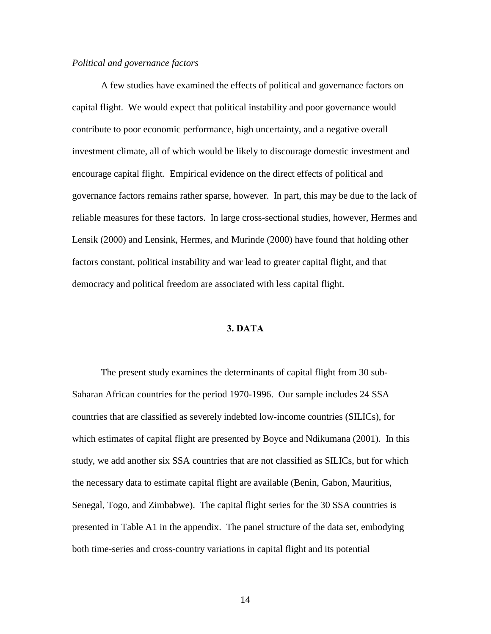#### *Political and governance factors*

A few studies have examined the effects of political and governance factors on capital flight. We would expect that political instability and poor governance would contribute to poor economic performance, high uncertainty, and a negative overall investment climate, all of which would be likely to discourage domestic investment and encourage capital flight. Empirical evidence on the direct effects of political and governance factors remains rather sparse, however. In part, this may be due to the lack of reliable measures for these factors. In large cross-sectional studies, however, Hermes and Lensik (2000) and Lensink, Hermes, and Murinde (2000) have found that holding other factors constant, political instability and war lead to greater capital flight, and that democracy and political freedom are associated with less capital flight.

# **3. DATA**

The present study examines the determinants of capital flight from 30 sub-Saharan African countries for the period 1970-1996. Our sample includes 24 SSA countries that are classified as severely indebted low-income countries (SILICs), for which estimates of capital flight are presented by Boyce and Ndikumana (2001). In this study, we add another six SSA countries that are not classified as SILICs, but for which the necessary data to estimate capital flight are available (Benin, Gabon, Mauritius, Senegal, Togo, and Zimbabwe). The capital flight series for the 30 SSA countries is presented in Table A1 in the appendix. The panel structure of the data set, embodying both time-series and cross-country variations in capital flight and its potential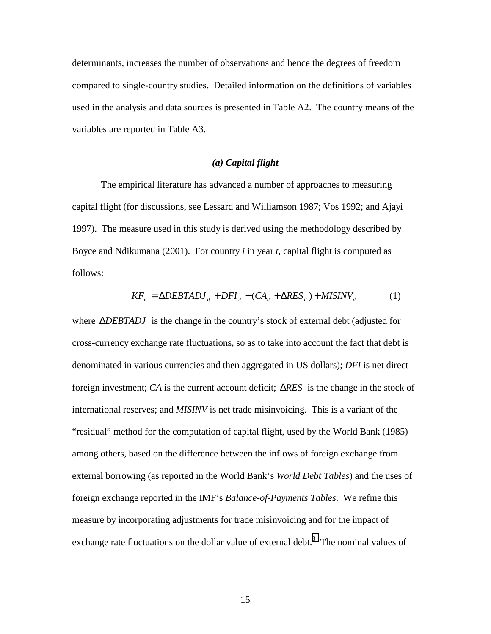determinants, increases the number of observations and hence the degrees of freedom compared to single-country studies. Detailed information on the definitions of variables used in the analysis and data sources is presented in Table A2. The country means of the variables are reported in Table A3.

# *(a) Capital flight*

The empirical literature has advanced a number of approaches to measuring capital flight (for discussions, see Lessard and Williamson 1987; Vos 1992; and Ajayi 1997). The measure used in this study is derived using the methodology described by Boyce and Ndikumana (2001). For country *i* in year *t*, capital flight is computed as follows:

$$
KF_{it} = \Delta DEBTADJ_{it} + DFI_{it} - (CA_{it} + \Delta RES_{it}) + MISINV_{it}
$$
 (1)

where ∆*DEBTADJ* is the change in the country's stock of external debt (adjusted for cross-currency exchange rate fluctuations, so as to take into account the fact that debt is denominated in various currencies and then aggregated in US dollars); *DFI* is net direct foreign investment; *CA* is the current account deficit; ∆*RES* is the change in the stock of international reserves; and *MISINV* is net trade misinvoicing. This is a variant of the "residual" method for the computation of capital flight, used by the World Bank (1985) among others, based on the difference between the inflows of foreign exchange from external borrowing (as reported in the World Bank's *World Debt Tables*) and the uses of foreign exchange reported in the IMF's *Balance-of-Payments Tables*. We refine this measure by incorporating adjustments for trade misinvoicing and for the impact of exchange rate fluctuations on the dollar value of external debt. $<sup>8</sup>$  $<sup>8</sup>$  $<sup>8</sup>$  The nominal values of</sup>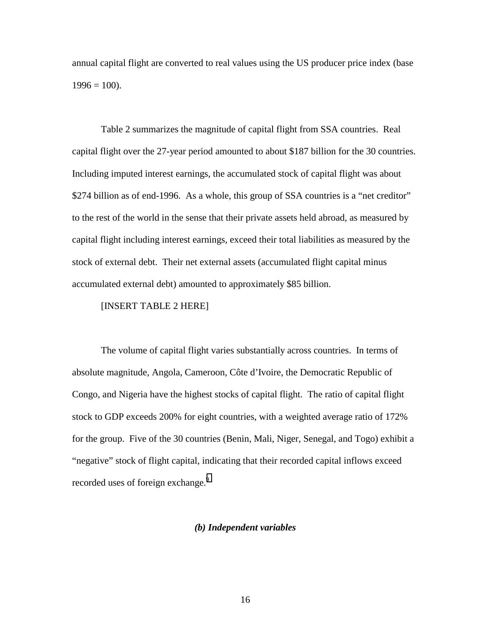annual capital flight are converted to real values using the US producer price index (base  $1996 = 100$ ).

 Table 2 summarizes the magnitude of capital flight from SSA countries. Real capital flight over the 27-year period amounted to about \$187 billion for the 30 countries. Including imputed interest earnings, the accumulated stock of capital flight was about \$274 billion as of end-1996. As a whole, this group of SSA countries is a "net creditor" to the rest of the world in the sense that their private assets held abroad, as measured by capital flight including interest earnings, exceed their total liabilities as measured by the stock of external debt. Their net external assets (accumulated flight capital minus accumulated external debt) amounted to approximately \$85 billion.

[INSERT TABLE 2 HERE]

 The volume of capital flight varies substantially across countries. In terms of absolute magnitude, Angola, Cameroon, Côte d'Ivoire, the Democratic Republic of Congo, and Nigeria have the highest stocks of capital flight. The ratio of capital flight stock to GDP exceeds 200% for eight countries, with a weighted average ratio of 172% for the group. Five of the 30 countries (Benin, Mali, Niger, Senegal, and Togo) exhibit a "negative" stock of flight capital, indicating that their recorded capital inflows exceed recorded uses of foreign exchange.<sup>[9](#page-39-0)</sup>

# *(b) Independent variables*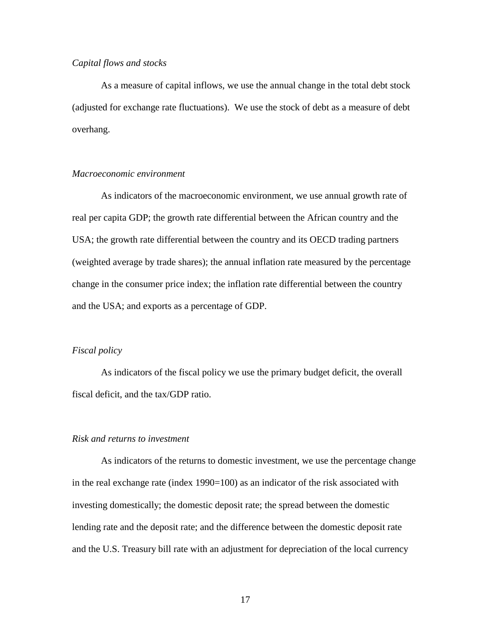# *Capital flows and stocks*

As a measure of capital inflows, we use the annual change in the total debt stock (adjusted for exchange rate fluctuations). We use the stock of debt as a measure of debt overhang.

# *Macroeconomic environment*

As indicators of the macroeconomic environment, we use annual growth rate of real per capita GDP; the growth rate differential between the African country and the USA; the growth rate differential between the country and its OECD trading partners (weighted average by trade shares); the annual inflation rate measured by the percentage change in the consumer price index; the inflation rate differential between the country and the USA; and exports as a percentage of GDP.

# *Fiscal policy*

As indicators of the fiscal policy we use the primary budget deficit, the overall fiscal deficit, and the tax/GDP ratio.

### *Risk and returns to investment*

As indicators of the returns to domestic investment, we use the percentage change in the real exchange rate (index 1990=100) as an indicator of the risk associated with investing domestically; the domestic deposit rate; the spread between the domestic lending rate and the deposit rate; and the difference between the domestic deposit rate and the U.S. Treasury bill rate with an adjustment for depreciation of the local currency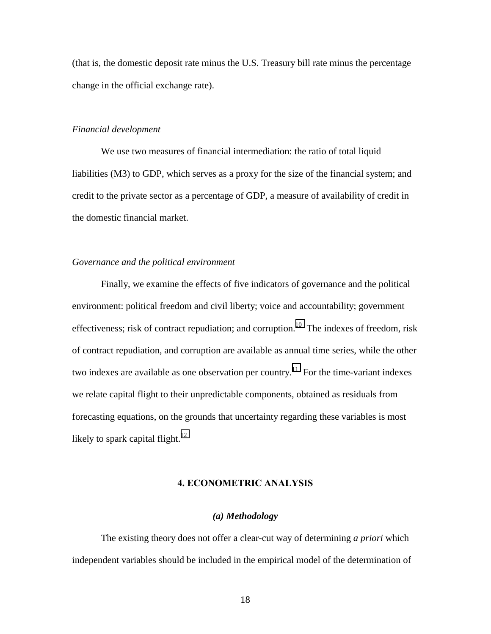(that is, the domestic deposit rate minus the U.S. Treasury bill rate minus the percentage change in the official exchange rate).

# *Financial development*

We use two measures of financial intermediation: the ratio of total liquid liabilities (M3) to GDP, which serves as a proxy for the size of the financial system; and credit to the private sector as a percentage of GDP, a measure of availability of credit in the domestic financial market.

# *Governance and the political environment*

Finally, we examine the effects of five indicators of governance and the political environment: political freedom and civil liberty; voice and accountability; government effectiveness; risk of contract repudiation; and corruption.<sup>10</sup> The indexes of freedom, risk of contract repudiation, and corruption are available as annual time series, while the other two indexes are available as one observation per country.<sup>11</sup> For the time-variant indexes we relate capital flight to their unpredictable components, obtained as residuals from forecasting equations, on the grounds that uncertainty regarding these variables is most likely to spark capital flight.<sup>12</sup>

#### **4. ECONOMETRIC ANALYSIS**

# *(a) Methodology*

The existing theory does not offer a clear-cut way of determining *a priori* which independent variables should be included in the empirical model of the determination of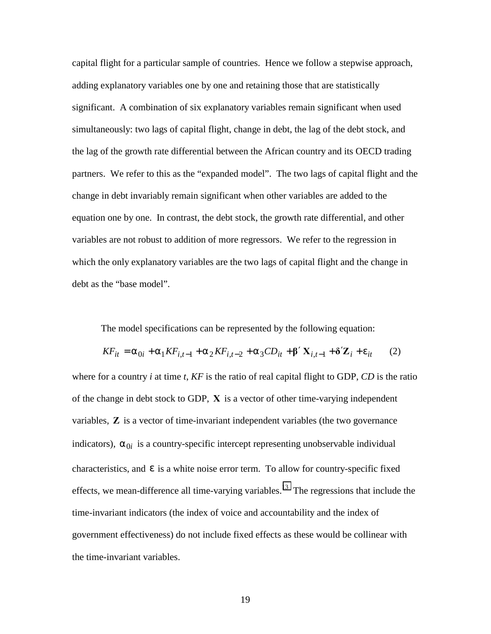capital flight for a particular sample of countries. Hence we follow a stepwise approach, adding explanatory variables one by one and retaining those that are statistically significant. A combination of six explanatory variables remain significant when used simultaneously: two lags of capital flight, change in debt, the lag of the debt stock, and the lag of the growth rate differential between the African country and its OECD trading partners. We refer to this as the "expanded model". The two lags of capital flight and the change in debt invariably remain significant when other variables are added to the equation one by one. In contrast, the debt stock, the growth rate differential, and other variables are not robust to addition of more regressors. We refer to the regression in which the only explanatory variables are the two lags of capital flight and the change in debt as the "base model".

The model specifications can be represented by the following equation:

$$
KF_{it} = \alpha_{0i} + \alpha_1 K F_{i,t-1} + \alpha_2 K F_{i,t-2} + \alpha_3 CD_{it} + \beta' X_{i,t-1} + \delta' Z_i + \varepsilon_{it}
$$
 (2)

where for a country *i* at time *t*, *KF* is the ratio of real capital flight to GDP, *CD* is the ratio of the change in debt stock to GDP, **X** is a vector of other time-varying independent variables, **Z** is a vector of time-invariant independent variables (the two governance indicators),  $\alpha_{0i}$  is a country-specific intercept representing unobservable individual characteristics, and  $\varepsilon$  is a white noise error term. To allow for country-specific fixed effects, we mean-difference all time-varying variables.<sup>13</sup> The regressions that include the time-invariant indicators (the index of voice and accountability and the index of government effectiveness) do not include fixed effects as these would be collinear with the time-invariant variables.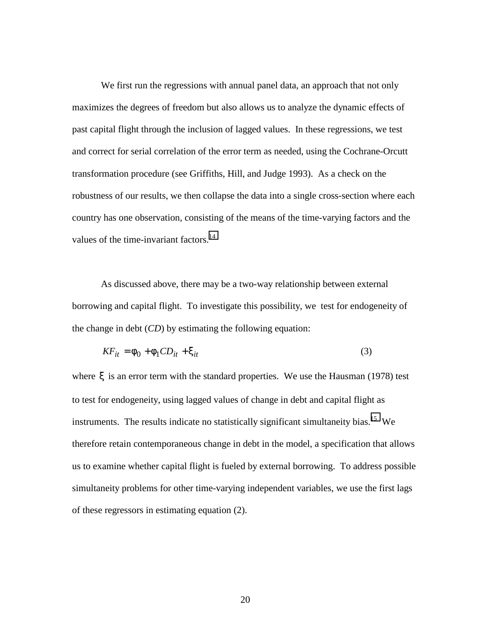We first run the regressions with annual panel data, an approach that not only maximizes the degrees of freedom but also allows us to analyze the dynamic effects of past capital flight through the inclusion of lagged values. In these regressions, we test and correct for serial correlation of the error term as needed, using the Cochrane-Orcutt transformation procedure (see Griffiths, Hill, and Judge 1993). As a check on the robustness of our results, we then collapse the data into a single cross-section where each country has one observation, consisting of the means of the time-varying factors and the values of the time-invariant factors.<sup>14</sup>

As discussed above, there may be a two-way relationship between external borrowing and capital flight. To investigate this possibility, we test for endogeneity of the change in debt (*CD*) by estimating the following equation:

$$
KF_{it} = \phi_0 + \phi_1 CD_{it} + \xi_{it} \tag{3}
$$

where ξ is an error term with the standard properties. We use the Hausman (1978) test to test for endogeneity, using lagged values of change in debt and capital flight as instruments. The results indicate no statistically significant simultaneity bias.<sup>15</sup> We therefore retain contemporaneous change in debt in the model, a specification that allows us to examine whether capital flight is fueled by external borrowing. To address possible simultaneity problems for other time-varying independent variables, we use the first lags of these regressors in estimating equation (2).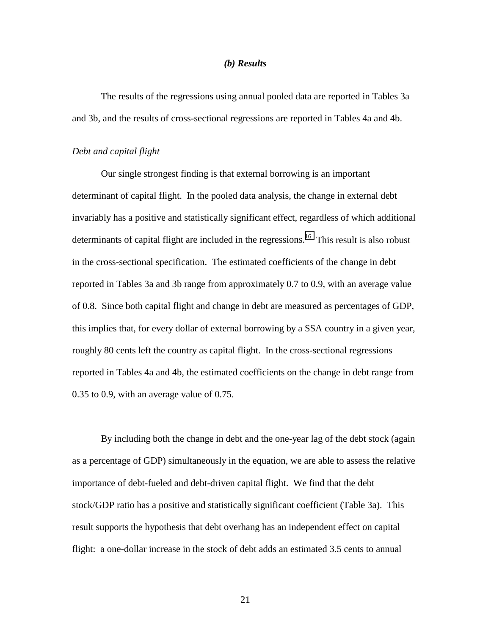#### *(b) Results*

The results of the regressions using annual pooled data are reported in Tables 3a and 3b, and the results of cross-sectional regressions are reported in Tables 4a and 4b.

#### *Debt and capital flight*

 Our single strongest finding is that external borrowing is an important determinant of capital flight. In the pooled data analysis, the change in external debt invariably has a positive and statistically significant effect, regardless of which additional determinants of capital flight are included in the regressions.<sup>16</sup> This result is also robust in the cross-sectional specification. The estimated coefficients of the change in debt reported in Tables 3a and 3b range from approximately 0.7 to 0.9, with an average value of 0.8. Since both capital flight and change in debt are measured as percentages of GDP, this implies that, for every dollar of external borrowing by a SSA country in a given year, roughly 80 cents left the country as capital flight. In the cross-sectional regressions reported in Tables 4a and 4b, the estimated coefficients on the change in debt range from 0.35 to 0.9, with an average value of 0.75.

By including both the change in debt and the one-year lag of the debt stock (again as a percentage of GDP) simultaneously in the equation, we are able to assess the relative importance of debt-fueled and debt-driven capital flight. We find that the debt stock/GDP ratio has a positive and statistically significant coefficient (Table 3a). This result supports the hypothesis that debt overhang has an independent effect on capital flight: a one-dollar increase in the stock of debt adds an estimated 3.5 cents to annual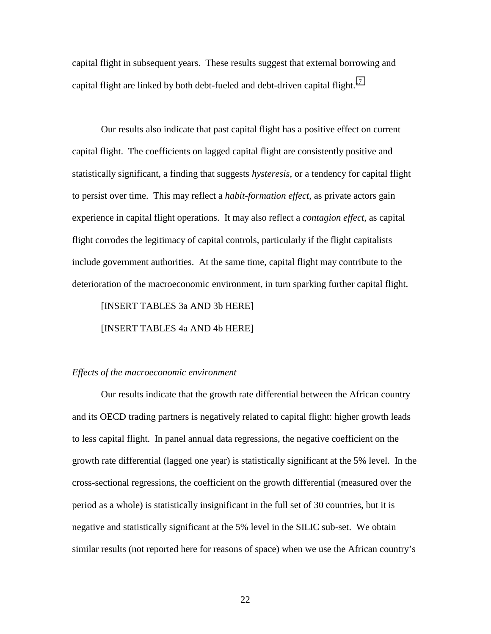capital flight in subsequent years. These results suggest that external borrowing and capital flight are linked by both debt-fueled and debt-driven capital flight.<sup>17</sup>

 Our results also indicate that past capital flight has a positive effect on current capital flight. The coefficients on lagged capital flight are consistently positive and statistically significant, a finding that suggests *hysteresis*, or a tendency for capital flight to persist over time. This may reflect a *habit-formation effect*, as private actors gain experience in capital flight operations. It may also reflect a *contagion effect*, as capital flight corrodes the legitimacy of capital controls, particularly if the flight capitalists include government authorities. At the same time, capital flight may contribute to the deterioration of the macroeconomic environment, in turn sparking further capital flight.

[INSERT TABLES 3a AND 3b HERE] [INSERT TABLES 4a AND 4b HERE]

### *Effects of the macroeconomic environment*

Our results indicate that the growth rate differential between the African country and its OECD trading partners is negatively related to capital flight: higher growth leads to less capital flight. In panel annual data regressions, the negative coefficient on the growth rate differential (lagged one year) is statistically significant at the 5% level. In the cross-sectional regressions, the coefficient on the growth differential (measured over the period as a whole) is statistically insignificant in the full set of 30 countries, but it is negative and statistically significant at the 5% level in the SILIC sub-set. We obtain similar results (not reported here for reasons of space) when we use the African country's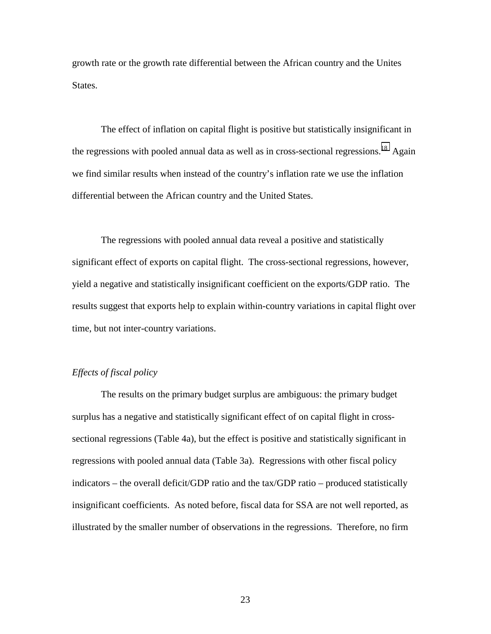growth rate or the growth rate differential between the African country and the Unites States.

The effect of inflation on capital flight is positive but statistically insignificant in the regressions with pooled annual data as well as in cross-sectional regressions.<sup>18</sup> Again we find similar results when instead of the country's inflation rate we use the inflation differential between the African country and the United States.

The regressions with pooled annual data reveal a positive and statistically significant effect of exports on capital flight. The cross-sectional regressions, however, yield a negative and statistically insignificant coefficient on the exports/GDP ratio. The results suggest that exports help to explain within-country variations in capital flight over time, but not inter-country variations.

# *Effects of fiscal policy*

 The results on the primary budget surplus are ambiguous: the primary budget surplus has a negative and statistically significant effect of on capital flight in crosssectional regressions (Table 4a), but the effect is positive and statistically significant in regressions with pooled annual data (Table 3a). Regressions with other fiscal policy indicators – the overall deficit/GDP ratio and the tax/GDP ratio – produced statistically insignificant coefficients. As noted before, fiscal data for SSA are not well reported, as illustrated by the smaller number of observations in the regressions. Therefore, no firm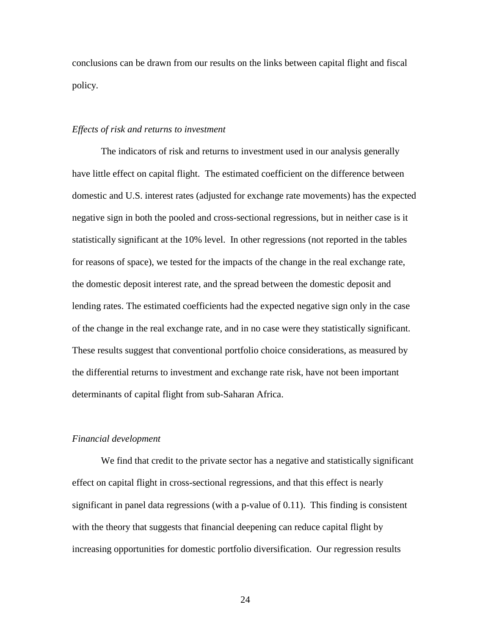conclusions can be drawn from our results on the links between capital flight and fiscal policy.

### *Effects of risk and returns to investment*

 The indicators of risk and returns to investment used in our analysis generally have little effect on capital flight. The estimated coefficient on the difference between domestic and U.S. interest rates (adjusted for exchange rate movements) has the expected negative sign in both the pooled and cross-sectional regressions, but in neither case is it statistically significant at the 10% level. In other regressions (not reported in the tables for reasons of space), we tested for the impacts of the change in the real exchange rate, the domestic deposit interest rate, and the spread between the domestic deposit and lending rates. The estimated coefficients had the expected negative sign only in the case of the change in the real exchange rate, and in no case were they statistically significant. These results suggest that conventional portfolio choice considerations, as measured by the differential returns to investment and exchange rate risk, have not been important determinants of capital flight from sub-Saharan Africa.

#### *Financial development*

We find that credit to the private sector has a negative and statistically significant effect on capital flight in cross-sectional regressions, and that this effect is nearly significant in panel data regressions (with a p-value of  $0.11$ ). This finding is consistent with the theory that suggests that financial deepening can reduce capital flight by increasing opportunities for domestic portfolio diversification. Our regression results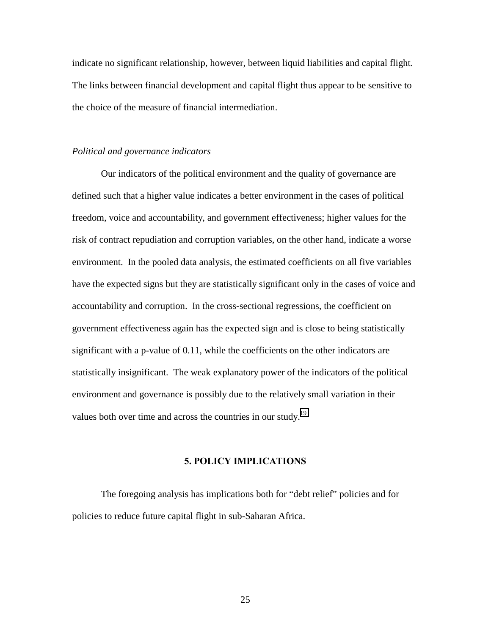indicate no significant relationship, however, between liquid liabilities and capital flight. The links between financial development and capital flight thus appear to be sensitive to the choice of the measure of financial intermediation.

# *Political and governance indicators*

 Our indicators of the political environment and the quality of governance are defined such that a higher value indicates a better environment in the cases of political freedom, voice and accountability, and government effectiveness; higher values for the risk of contract repudiation and corruption variables, on the other hand, indicate a worse environment. In the pooled data analysis, the estimated coefficients on all five variables have the expected signs but they are statistically significant only in the cases of voice and accountability and corruption. In the cross-sectional regressions, the coefficient on government effectiveness again has the expected sign and is close to being statistically significant with a p-value of 0.11, while the coefficients on the other indicators are statistically insignificant. The weak explanatory power of the indicators of the political environment and governance is possibly due to the relatively small variation in their values both over time and across the countries in our study.<sup>19</sup>

### **5. POLICY IMPLICATIONS**

The foregoing analysis has implications both for "debt relief" policies and for policies to reduce future capital flight in sub-Saharan Africa.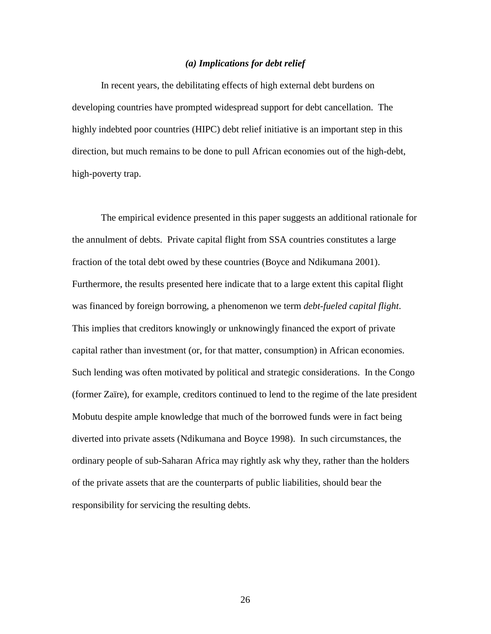# *(a) Implications for debt relief*

In recent years, the debilitating effects of high external debt burdens on developing countries have prompted widespread support for debt cancellation. The highly indebted poor countries (HIPC) debt relief initiative is an important step in this direction, but much remains to be done to pull African economies out of the high-debt, high-poverty trap.

The empirical evidence presented in this paper suggests an additional rationale for the annulment of debts. Private capital flight from SSA countries constitutes a large fraction of the total debt owed by these countries (Boyce and Ndikumana 2001). Furthermore, the results presented here indicate that to a large extent this capital flight was financed by foreign borrowing, a phenomenon we term *debt-fueled capital flight*. This implies that creditors knowingly or unknowingly financed the export of private capital rather than investment (or, for that matter, consumption) in African economies. Such lending was often motivated by political and strategic considerations. In the Congo (former Zaïre), for example, creditors continued to lend to the regime of the late president Mobutu despite ample knowledge that much of the borrowed funds were in fact being diverted into private assets (Ndikumana and Boyce 1998). In such circumstances, the ordinary people of sub-Saharan Africa may rightly ask why they, rather than the holders of the private assets that are the counterparts of public liabilities, should bear the responsibility for servicing the resulting debts.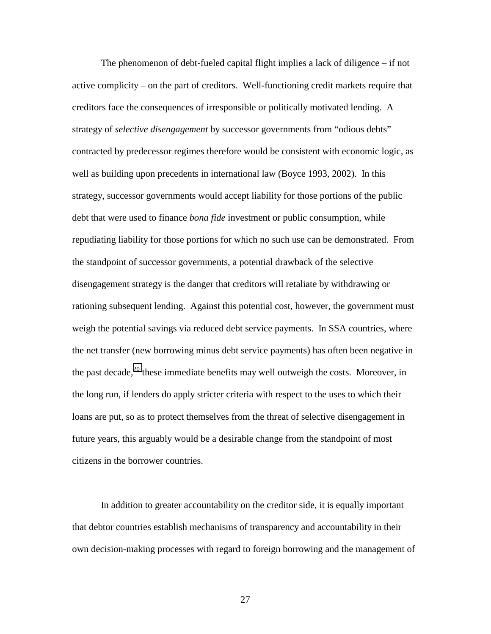The phenomenon of debt-fueled capital flight implies a lack of diligence – if not active complicity – on the part of creditors. Well-functioning credit markets require that creditors face the consequences of irresponsible or politically motivated lending. A strategy of *selective disengagement* by successor governments from "odious debts" contracted by predecessor regimes therefore would be consistent with economic logic, as well as building upon precedents in international law (Boyce 1993, 2002). In this strategy, successor governments would accept liability for those portions of the public debt that were used to finance *bona fide* investment or public consumption, while repudiating liability for those portions for which no such use can be demonstrated. From the standpoint of successor governments, a potential drawback of the selective disengagement strategy is the danger that creditors will retaliate by withdrawing or rationing subsequent lending. Against this potential cost, however, the government must weigh the potential savings via reduced debt service payments. In SSA countries, where the net transfer (new borrowing minus debt service payments) has often been negative in the past decade, $20$  these immediate benefits may well outweigh the costs. Moreover, in the long run, if lenders do apply stricter criteria with respect to the uses to which their loans are put, so as to protect themselves from the threat of selective disengagement in future years, this arguably would be a desirable change from the standpoint of most citizens in the borrower countries.

 In addition to greater accountability on the creditor side, it is equally important that debtor countries establish mechanisms of transparency and accountability in their own decision-making processes with regard to foreign borrowing and the management of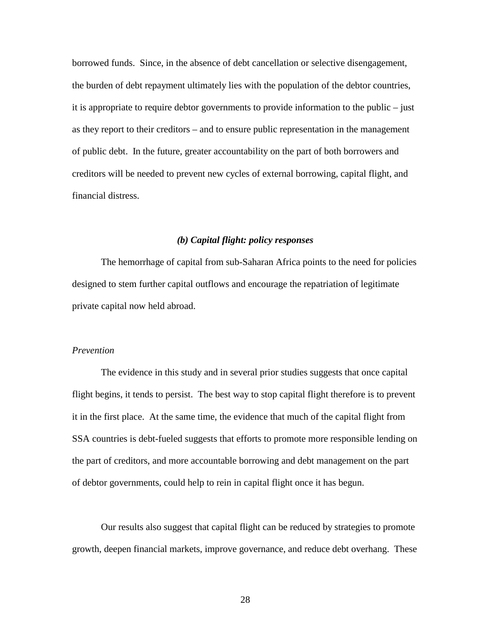borrowed funds. Since, in the absence of debt cancellation or selective disengagement, the burden of debt repayment ultimately lies with the population of the debtor countries, it is appropriate to require debtor governments to provide information to the public – just as they report to their creditors – and to ensure public representation in the management of public debt. In the future, greater accountability on the part of both borrowers and creditors will be needed to prevent new cycles of external borrowing, capital flight, and financial distress.

# *(b) Capital flight: policy responses*

 The hemorrhage of capital from sub-Saharan Africa points to the need for policies designed to stem further capital outflows and encourage the repatriation of legitimate private capital now held abroad.

### *Prevention*

 The evidence in this study and in several prior studies suggests that once capital flight begins, it tends to persist. The best way to stop capital flight therefore is to prevent it in the first place. At the same time, the evidence that much of the capital flight from SSA countries is debt-fueled suggests that efforts to promote more responsible lending on the part of creditors, and more accountable borrowing and debt management on the part of debtor governments, could help to rein in capital flight once it has begun.

Our results also suggest that capital flight can be reduced by strategies to promote growth, deepen financial markets, improve governance, and reduce debt overhang. These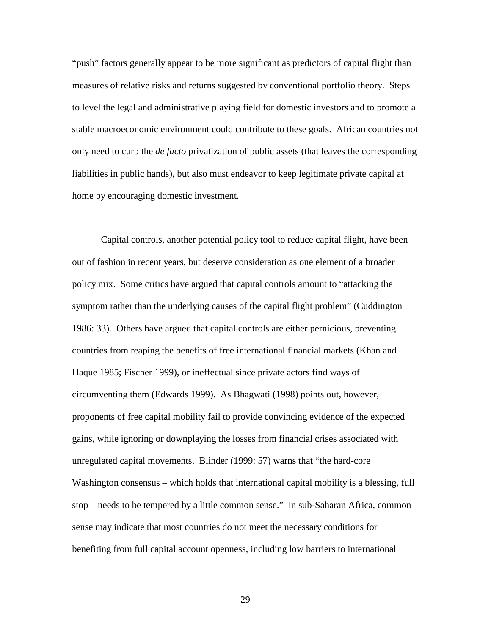"push" factors generally appear to be more significant as predictors of capital flight than measures of relative risks and returns suggested by conventional portfolio theory. Steps to level the legal and administrative playing field for domestic investors and to promote a stable macroeconomic environment could contribute to these goals. African countries not only need to curb the *de facto* privatization of public assets (that leaves the corresponding liabilities in public hands), but also must endeavor to keep legitimate private capital at home by encouraging domestic investment.

 Capital controls, another potential policy tool to reduce capital flight, have been out of fashion in recent years, but deserve consideration as one element of a broader policy mix. Some critics have argued that capital controls amount to "attacking the symptom rather than the underlying causes of the capital flight problem" (Cuddington 1986: 33). Others have argued that capital controls are either pernicious, preventing countries from reaping the benefits of free international financial markets (Khan and Haque 1985; Fischer 1999), or ineffectual since private actors find ways of circumventing them (Edwards 1999). As Bhagwati (1998) points out, however, proponents of free capital mobility fail to provide convincing evidence of the expected gains, while ignoring or downplaying the losses from financial crises associated with unregulated capital movements. Blinder (1999: 57) warns that "the hard-core Washington consensus – which holds that international capital mobility is a blessing, full stop – needs to be tempered by a little common sense." In sub-Saharan Africa, common sense may indicate that most countries do not meet the necessary conditions for benefiting from full capital account openness, including low barriers to international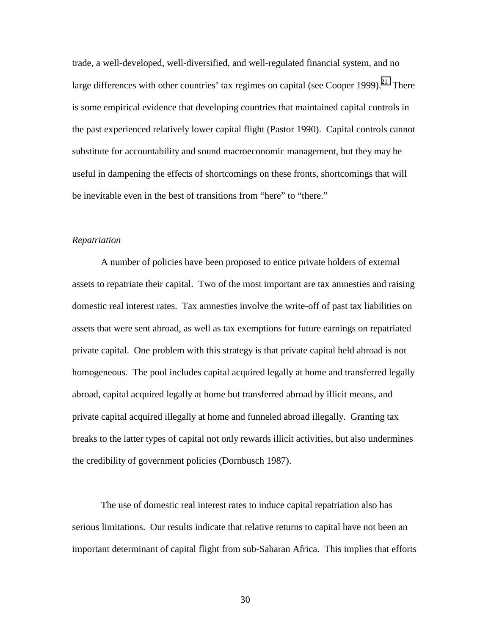trade, a well-developed, well-diversified, and well-regulated financial system, and no large differences with other countries' tax regimes on capital (see Cooper 1999). $^{21}$  There is some empirical evidence that developing countries that maintained capital controls in the past experienced relatively lower capital flight (Pastor 1990). Capital controls cannot substitute for accountability and sound macroeconomic management, but they may be useful in dampening the effects of shortcomings on these fronts, shortcomings that will be inevitable even in the best of transitions from "here" to "there."

# *Repatriation*

 A number of policies have been proposed to entice private holders of external assets to repatriate their capital. Two of the most important are tax amnesties and raising domestic real interest rates. Tax amnesties involve the write-off of past tax liabilities on assets that were sent abroad, as well as tax exemptions for future earnings on repatriated private capital. One problem with this strategy is that private capital held abroad is not homogeneous. The pool includes capital acquired legally at home and transferred legally abroad, capital acquired legally at home but transferred abroad by illicit means, and private capital acquired illegally at home and funneled abroad illegally. Granting tax breaks to the latter types of capital not only rewards illicit activities, but also undermines the credibility of government policies (Dornbusch 1987).

The use of domestic real interest rates to induce capital repatriation also has serious limitations. Our results indicate that relative returns to capital have not been an important determinant of capital flight from sub-Saharan Africa. This implies that efforts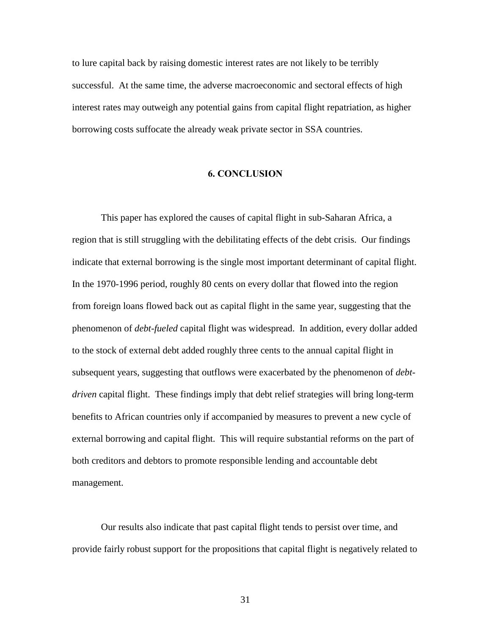to lure capital back by raising domestic interest rates are not likely to be terribly successful. At the same time, the adverse macroeconomic and sectoral effects of high interest rates may outweigh any potential gains from capital flight repatriation, as higher borrowing costs suffocate the already weak private sector in SSA countries.

# **6. CONCLUSION**

 This paper has explored the causes of capital flight in sub-Saharan Africa, a region that is still struggling with the debilitating effects of the debt crisis. Our findings indicate that external borrowing is the single most important determinant of capital flight. In the 1970-1996 period, roughly 80 cents on every dollar that flowed into the region from foreign loans flowed back out as capital flight in the same year, suggesting that the phenomenon of *debt-fueled* capital flight was widespread. In addition, every dollar added to the stock of external debt added roughly three cents to the annual capital flight in subsequent years, suggesting that outflows were exacerbated by the phenomenon of *debtdriven* capital flight. These findings imply that debt relief strategies will bring long-term benefits to African countries only if accompanied by measures to prevent a new cycle of external borrowing and capital flight. This will require substantial reforms on the part of both creditors and debtors to promote responsible lending and accountable debt management.

 Our results also indicate that past capital flight tends to persist over time, and provide fairly robust support for the propositions that capital flight is negatively related to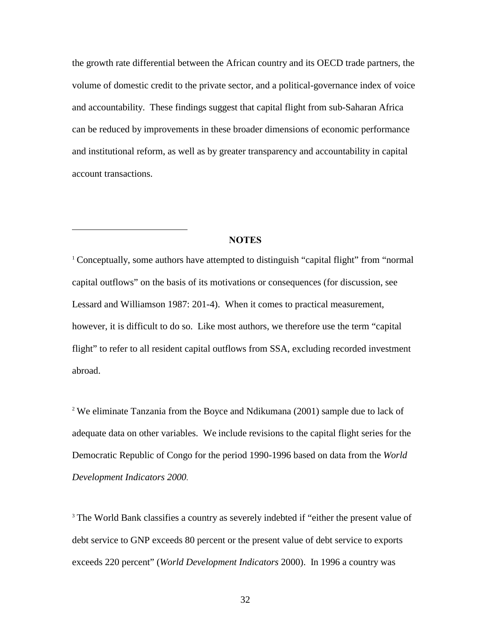the growth rate differential between the African country and its OECD trade partners, the volume of domestic credit to the private sector, and a political-governance index of voice and accountability. These findings suggest that capital flight from sub-Saharan Africa can be reduced by improvements in these broader dimensions of economic performance and institutional reform, as well as by greater transparency and accountability in capital account transactions.

# **NOTES**

 $\overline{a}$ 

<sup>1</sup> Conceptually, some authors have attempted to distinguish "capital flight" from "normal" capital outflows" on the basis of its motivations or consequences (for discussion, see Lessard and Williamson 1987: 201-4). When it comes to practical measurement, however, it is difficult to do so. Like most authors, we therefore use the term "capital flight" to refer to all resident capital outflows from SSA, excluding recorded investment abroad.

<sup>2</sup> We eliminate Tanzania from the Boyce and Ndikumana (2001) sample due to lack of adequate data on other variables. We include revisions to the capital flight series for the Democratic Republic of Congo for the period 1990-1996 based on data from the *World Development Indicators 2000*.

<sup>3</sup> The World Bank classifies a country as severely indebted if "either the present value of debt service to GNP exceeds 80 percent or the present value of debt service to exports exceeds 220 percent" (*World Development Indicators* 2000). In 1996 a country was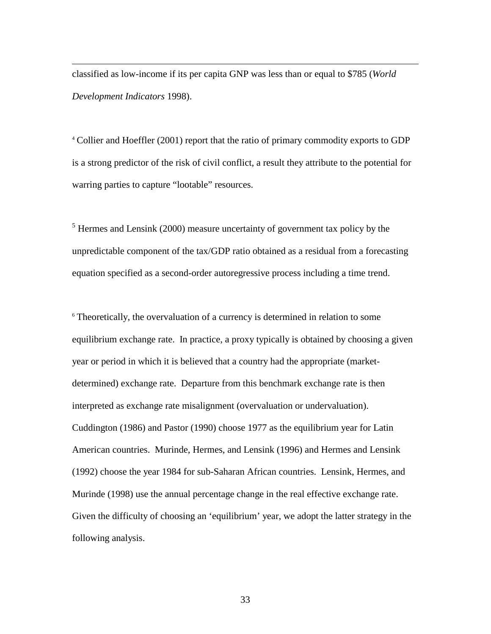classified as low-income if its per capita GNP was less than or equal to \$785 (*World Development Indicators* 1998).

 $\overline{a}$ 

<sup>4</sup> Collier and Hoeffler (2001) report that the ratio of primary commodity exports to GDP is a strong predictor of the risk of civil conflict, a result they attribute to the potential for warring parties to capture "lootable" resources.

 $<sup>5</sup>$  Hermes and Lensink (2000) measure uncertainty of government tax policy by the</sup> unpredictable component of the tax/GDP ratio obtained as a residual from a forecasting equation specified as a second-order autoregressive process including a time trend.

<sup>6</sup> Theoretically, the overvaluation of a currency is determined in relation to some equilibrium exchange rate. In practice, a proxy typically is obtained by choosing a given year or period in which it is believed that a country had the appropriate (marketdetermined) exchange rate. Departure from this benchmark exchange rate is then interpreted as exchange rate misalignment (overvaluation or undervaluation). Cuddington (1986) and Pastor (1990) choose 1977 as the equilibrium year for Latin American countries. Murinde, Hermes, and Lensink (1996) and Hermes and Lensink (1992) choose the year 1984 for sub-Saharan African countries. Lensink, Hermes, and Murinde (1998) use the annual percentage change in the real effective exchange rate. Given the difficulty of choosing an 'equilibrium' year, we adopt the latter strategy in the following analysis.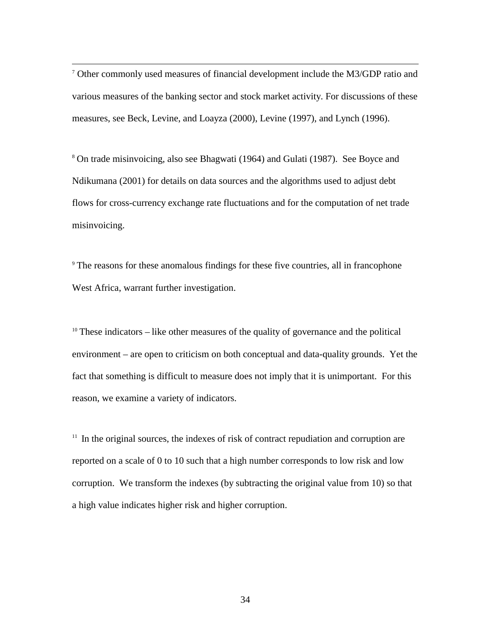$\frac{1}{7}$  Other commonly used measures of financial development include the M3/GDP ratio and various measures of the banking sector and stock market activity. For discussions of these measures, see Beck, Levine, and Loayza (2000), Levine (1997), and Lynch (1996).

<sup>8</sup> On trade misinvoicing, also see Bhagwati (1964) and Gulati (1987). See Boyce and Ndikumana (2001) for details on data sources and the algorithms used to adjust debt flows for cross-currency exchange rate fluctuations and for the computation of net trade misinvoicing.

<sup>9</sup> The reasons for these anomalous findings for these five countries, all in francophone West Africa, warrant further investigation.

 $10$  These indicators – like other measures of the quality of governance and the political environment – are open to criticism on both conceptual and data-quality grounds. Yet the fact that something is difficult to measure does not imply that it is unimportant. For this reason, we examine a variety of indicators.

 $11$  In the original sources, the indexes of risk of contract repudiation and corruption are reported on a scale of 0 to 10 such that a high number corresponds to low risk and low corruption. We transform the indexes (by subtracting the original value from 10) so that a high value indicates higher risk and higher corruption.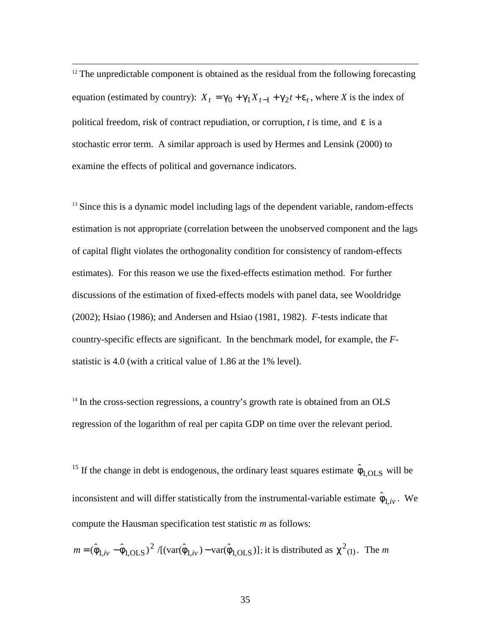$12$  The unpredictable component is obtained as the residual from the following forecasting equation (estimated by country):  $X_t = \gamma_0 + \gamma_1 X_{t-1} + \gamma_2 t + \varepsilon_t$ , where *X* is the index of political freedom, risk of contract repudiation, or corruption, *t* is time, and ε is a stochastic error term. A similar approach is used by Hermes and Lensink (2000) to examine the effects of political and governance indicators.

<sup>13</sup> Since this is a dynamic model including lags of the dependent variable, random-effects estimation is not appropriate (correlation between the unobserved component and the lags of capital flight violates the orthogonality condition for consistency of random-effects estimates). For this reason we use the fixed-effects estimation method. For further discussions of the estimation of fixed-effects models with panel data, see Wooldridge (2002); Hsiao (1986); and Andersen and Hsiao (1981, 1982). *F*-tests indicate that country-specific effects are significant. In the benchmark model, for example, the *F*statistic is 4.0 (with a critical value of 1.86 at the 1% level).

 $14$  In the cross-section regressions, a country's growth rate is obtained from an OLS regression of the logarithm of real per capita GDP on time over the relevant period.

<sup>15</sup> If the change in debt is endogenous, the ordinary least squares estimate  $\hat{\phi}_{1,OLS}$  will be inconsistent and will differ statistically from the instrumental-variable estimate  $\hat{\phi}_{1,i\nu}$ . We compute the Hausman specification test statistic *m* as follows:

$$
m = (\hat{\phi}_{1,iv} - \hat{\phi}_{1,OLS})^2 / [(\text{var}(\hat{\phi}_{1,iv}) - \text{var}(\hat{\phi}_{1,OLS})];
$$
 it is distributed as  $\chi^2(1)$ . The *m*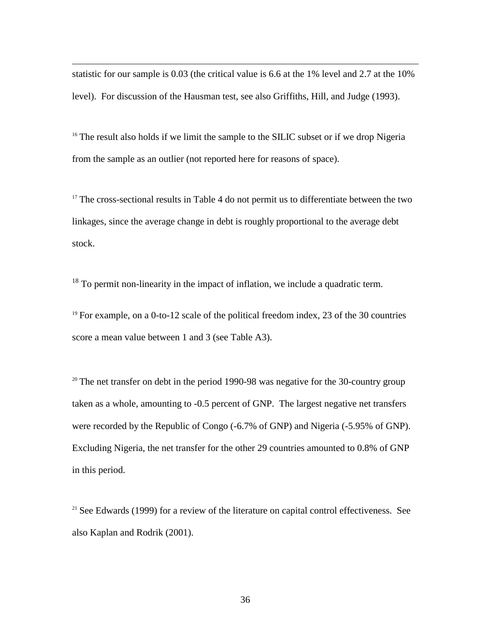statistic for our sample is 0.03 (the critical value is 6.6 at the 1% level and 2.7 at the 10% level). For discussion of the Hausman test, see also Griffiths, Hill, and Judge (1993).

 $\overline{a}$ 

<sup>16</sup> The result also holds if we limit the sample to the SILIC subset or if we drop Nigeria from the sample as an outlier (not reported here for reasons of space).

 $17$  The cross-sectional results in Table 4 do not permit us to differentiate between the two linkages, since the average change in debt is roughly proportional to the average debt stock.

<sup>18</sup> To permit non-linearity in the impact of inflation, we include a quadratic term.

<sup>19</sup> For example, on a 0-to-12 scale of the political freedom index, 23 of the 30 countries score a mean value between 1 and 3 (see Table A3).

 $20$  The net transfer on debt in the period 1990-98 was negative for the 30-country group taken as a whole, amounting to -0.5 percent of GNP. The largest negative net transfers were recorded by the Republic of Congo (-6.7% of GNP) and Nigeria (-5.95% of GNP). Excluding Nigeria, the net transfer for the other 29 countries amounted to 0.8% of GNP in this period.

 $21$  See Edwards (1999) for a review of the literature on capital control effectiveness. See also Kaplan and Rodrik (2001).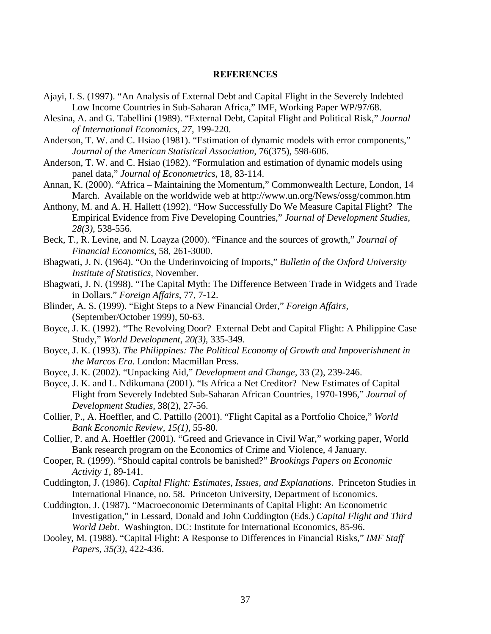# **REFERENCES**

- <span id="page-39-0"></span>Ajayi, I. S. (1997). "An Analysis of External Debt and Capital Flight in the Severely Indebted Low Income Countries in Sub-Saharan Africa," IMF, Working Paper WP/97/68.
- Alesina, A. and G. Tabellini (1989). "External Debt, Capital Flight and Political Risk," *Journal of International Economics, 27*, 199-220.
- Anderson, T. W. and C. Hsiao (1981). "Estimation of dynamic models with error components," *Journal of the American Statistical Association*, 76(375), 598-606.
- Anderson, T. W. and C. Hsiao (1982). "Formulation and estimation of dynamic models using panel data," *Journal of Econometrics,* 18, 83-114.
- Annan, K. (2000). "Africa Maintaining the Momentum," Commonwealth Lecture, London, 14 March. Available on the worldwide web at http://www.un.org/News/ossg/common.htm
- Anthony, M. and A. H. Hallett (1992). "How Successfully Do We Measure Capital Flight? The Empirical Evidence from Five Developing Countries," *Journal of Development Studies, 28(3)*, 538-556.
- Beck, T., R. Levine, and N. Loayza (2000). "Finance and the sources of growth," *Journal of Financial Economics*, 58, 261-3000.
- Bhagwati, J. N. (1964). "On the Underinvoicing of Imports," *Bulletin of the Oxford University Institute of Statistics*, November.
- Bhagwati, J. N. (1998). "The Capital Myth: The Difference Between Trade in Widgets and Trade in Dollars." *Foreign Affairs*, 77, 7-12.
- Blinder, A. S. (1999). "Eight Steps to a New Financial Order," *Foreign Affairs,* (September/October 1999), 50-63.
- Boyce, J. K. (1992). "The Revolving Door? External Debt and Capital Flight: A Philippine Case Study," *World Development, 20(3)*, 335-349.
- Boyce, J. K. (1993). *The Philippines: The Political Economy of Growth and Impoverishment in the Marcos Era*. London: Macmillan Press.
- Boyce, J. K. (2002). "Unpacking Aid," *Development and Change,* 33 (2), 239-246.
- Boyce, J. K. and L. Ndikumana (2001). "Is Africa a Net Creditor? New Estimates of Capital Flight from Severely Indebted Sub-Saharan African Countries, 1970-1996," *Journal of Development Studies,* 38(2), 27-56.
- Collier, P., A. Hoeffler, and C. Pattillo (2001). "Flight Capital as a Portfolio Choice," *World Bank Economic Review, 15(1)*, 55-80.
- Collier, P. and A. Hoeffler (2001). "Greed and Grievance in Civil War," working paper, World Bank research program on the Economics of Crime and Violence, 4 January.
- Cooper, R. (1999). "Should capital controls be banished?" *Brookings Papers on Economic Activity 1*, 89-141.
- Cuddington, J. (1986). *Capital Flight: Estimates, Issues, and Explanations*. Princeton Studies in International Finance, no. 58. Princeton University, Department of Economics.
- Cuddington, J. (1987). "Macroeconomic Determinants of Capital Flight: An Econometric Investigation," in Lessard, Donald and John Cuddington (Eds.) *Capital Flight and Third World Debt*. Washington, DC: Institute for International Economics, 85-96.
- Dooley, M. (1988). "Capital Flight: A Response to Differences in Financial Risks," *IMF Staff Papers, 35(3)*, 422-436.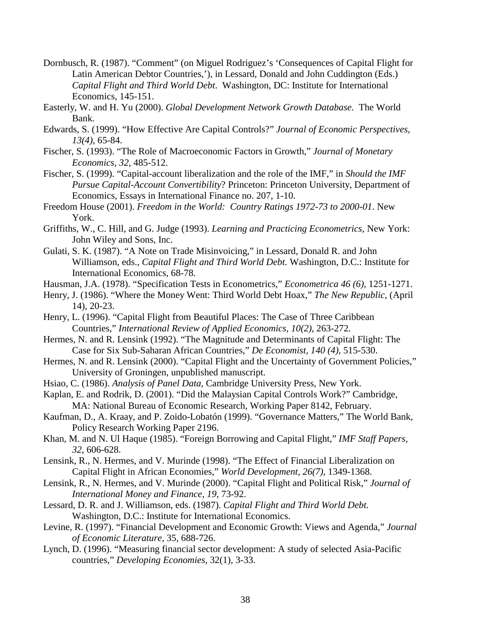- Dornbusch, R. (1987). "Comment" (on Miguel Rodriguez's 'Consequences of Capital Flight for Latin American Debtor Countries,'), in Lessard, Donald and John Cuddington (Eds.) *Capital Flight and Third World Debt*. Washington, DC: Institute for International Economics, 145-151.
- Easterly, W. and H. Yu (2000). *Global Development Network Growth Database*. The World Bank.
- Edwards, S. (1999). "How Effective Are Capital Controls?" *Journal of Economic Perspectives, 13(4)*, 65-84.
- Fischer, S. (1993). "The Role of Macroeconomic Factors in Growth," *Journal of Monetary Economics, 32*, 485-512.
- Fischer, S. (1999). "Capital-account liberalization and the role of the IMF," in *Should the IMF Pursue Capital-Account Convertibility*? Princeton: Princeton University, Department of Economics, Essays in International Finance no. 207, 1-10.
- Freedom House (2001). *Freedom in the World: Country Ratings 1972-73 to 2000-01*. New York.
- Griffiths, W., C. Hill, and G. Judge (1993). *Learning and Practicing Econometrics*, New York: John Wiley and Sons, Inc.
- Gulati, S. K. (1987). "A Note on Trade Misinvoicing," in Lessard, Donald R. and John Williamson, eds., *Capital Flight and Third World Debt.* Washington, D.C.: Institute for International Economics, 68-78.
- Hausman, J.A. (1978). "Specification Tests in Econometrics," *Econometrica 46 (6),* 1251-1271.
- Henry, J. (1986). "Where the Money Went: Third World Debt Hoax," *The New Republic*, (April 14), 20-23.
- Henry, L. (1996). "Capital Flight from Beautiful Places: The Case of Three Caribbean Countries," *International Review of Applied Economics, 10(2)*, 263-272.
- Hermes, N. and R. Lensink (1992). "The Magnitude and Determinants of Capital Flight: The Case for Six Sub-Saharan African Countries," *De Economist, 140 (4)*, 515-530.
- Hermes, N. and R. Lensink (2000). "Capital Flight and the Uncertainty of Government Policies," University of Groningen, unpublished manuscript.
- Hsiao, C. (1986). *Analysis of Panel Data*, Cambridge University Press, New York.
- Kaplan, E. and Rodrik, D. (2001). "Did the Malaysian Capital Controls Work?" Cambridge, MA: National Bureau of Economic Research, Working Paper 8142, February.
- Kaufman, D., A. Kraay, and P. Zoido-Lobatón (1999). "Governance Matters," The World Bank, Policy Research Working Paper 2196.
- Khan, M. and N. Ul Haque (1985). "Foreign Borrowing and Capital Flight," *IMF Staff Papers, 32*, 606-628.
- Lensink, R., N. Hermes, and V. Murinde (1998). "The Effect of Financial Liberalization on Capital Flight in African Economies," *World Development, 26(7)*, 1349-1368.
- Lensink, R., N. Hermes, and V. Murinde (2000). "Capital Flight and Political Risk," *Journal of International Money and Finance, 19*, 73-92.
- Lessard, D. R. and J. Williamson, eds. (1987). *Capital Flight and Third World Debt.* Washington, D.C.: Institute for International Economics.
- Levine, R. (1997). "Financial Development and Economic Growth: Views and Agenda," *Journal of Economic Literature,* 35*,* 688-726.
- Lynch, D. (1996). "Measuring financial sector development: A study of selected Asia-Pacific countries," *Developing Economies,* 32(1)*,* 3-33.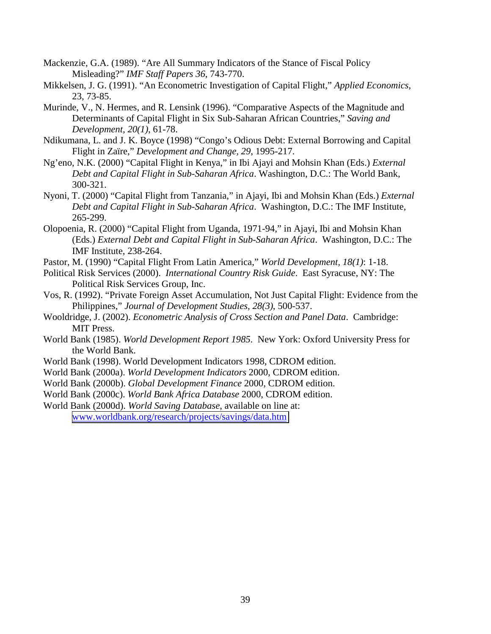- Mackenzie, G.A. (1989). "Are All Summary Indicators of the Stance of Fiscal Policy Misleading?" *IMF Staff Papers 36*, 743-770.
- Mikkelsen, J. G. (1991). "An Econometric Investigation of Capital Flight," *Applied Economics*, 23, 73-85.
- Murinde, V., N. Hermes, and R. Lensink (1996). "Comparative Aspects of the Magnitude and Determinants of Capital Flight in Six Sub-Saharan African Countries," *Saving and Development, 20(1)*, 61-78.
- Ndikumana, L. and J. K. Boyce (1998) "Congo's Odious Debt: External Borrowing and Capital Flight in Zaïre," *Development and Change, 29*, 1995-217.
- Ng'eno, N.K. (2000) "Capital Flight in Kenya," in Ibi Ajayi and Mohsin Khan (Eds.) *External Debt and Capital Flight in Sub-Saharan Africa*. Washington, D.C.: The World Bank, 300-321.
- Nyoni, T. (2000) "Capital Flight from Tanzania," in Ajayi, Ibi and Mohsin Khan (Eds.) *External Debt and Capital Flight in Sub-Saharan Africa*. Washington, D.C.: The IMF Institute, 265-299.
- Olopoenia, R. (2000) "Capital Flight from Uganda, 1971-94," in Ajayi, Ibi and Mohsin Khan (Eds.) *External Debt and Capital Flight in Sub-Saharan Africa*. Washington, D.C.: The IMF Institute, 238-264.
- Pastor, M. (1990) "Capital Flight From Latin America," *World Development, 18(1)*: 1-18.
- Political Risk Services (2000). *International Country Risk Guide*. East Syracuse, NY: The Political Risk Services Group, Inc.
- Vos, R. (1992). "Private Foreign Asset Accumulation, Not Just Capital Flight: Evidence from the Philippines," *Journal of Development Studies, 28(3)*, 500-537.
- Wooldridge, J. (2002). *Econometric Analysis of Cross Section and Panel Data*. Cambridge: MIT Press.
- World Bank (1985). *World Development Report 1985*. New York: Oxford University Press for the World Bank.
- World Bank (1998). World Development Indicators 1998, CDROM edition.
- World Bank (2000a). *World Development Indicators* 2000, CDROM edition.
- World Bank (2000b). *Global Development Finance* 2000, CDROM edition.
- World Bank (2000c). *World Bank Africa Database* 2000, CDROM edition.
- World Bank (2000d). *World Saving Database*, available on line at: [www.worldbank.org/research/projects/savings/data.htm](http://www.worldbank.org/research/projects/savings/data.htm)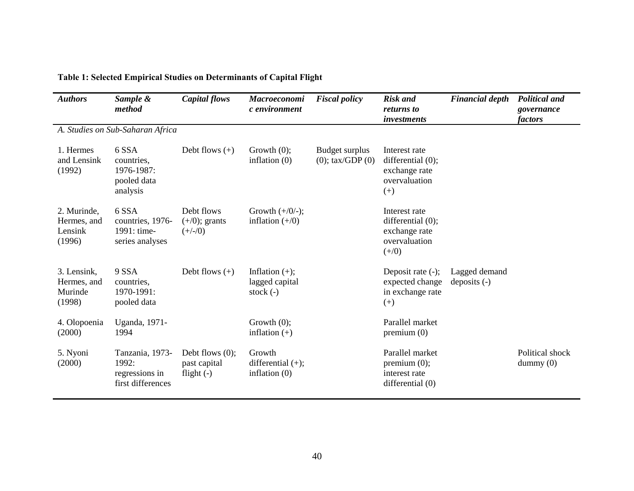| <b>Authors</b>                                  | Sample &<br>method                                              | Capital flows                                      | Macroeconomi<br>c environment                      | <b>Fiscal policy</b>                    | <b>Risk and</b><br>returns to<br><i>investments</i>                             | <b>Financial depth</b>          | <b>Political and</b><br>governance<br>factors |
|-------------------------------------------------|-----------------------------------------------------------------|----------------------------------------------------|----------------------------------------------------|-----------------------------------------|---------------------------------------------------------------------------------|---------------------------------|-----------------------------------------------|
|                                                 | A. Studies on Sub-Saharan Africa                                |                                                    |                                                    |                                         |                                                                                 |                                 |                                               |
| 1. Hermes<br>and Lensink<br>(1992)              | 6 SSA<br>countries,<br>1976-1987:<br>pooled data<br>analysis    | Debt flows $(+)$                                   | Growth $(0)$ ;<br>inflation $(0)$                  | Budget surplus<br>$(0)$ ; tax/GDP $(0)$ | Interest rate<br>differential (0);<br>exchange rate<br>overvaluation<br>$(+)$   |                                 |                                               |
| 2. Murinde,<br>Hermes, and<br>Lensink<br>(1996) | 6 SSA<br>countries, 1976-<br>1991: time-<br>series analyses     | Debt flows<br>$(+/0)$ ; grants<br>$(+/-/0)$        | Growth $(+/0/-);$<br>inflation $(+/0)$             |                                         | Interest rate<br>differential (0);<br>exchange rate<br>overvaluation<br>$(+/0)$ |                                 |                                               |
| 3. Lensink,<br>Hermes, and<br>Murinde<br>(1998) | 9 SSA<br>countries,<br>1970-1991:<br>pooled data                | Debt flows $(+)$                                   | Inflation $(+)$ ;<br>lagged capital<br>stock $(-)$ |                                         | Deposit rate (-);<br>expected change<br>in exchange rate<br>$(+)$               | Lagged demand<br>deposits $(-)$ |                                               |
| 4. Olopoenia<br>(2000)                          | Uganda, 1971-<br>1994                                           |                                                    | Growth $(0)$ ;<br>inflation $(+)$                  |                                         | Parallel market<br>premium(0)                                                   |                                 |                                               |
| 5. Nyoni<br>(2000)                              | Tanzania, 1973-<br>1992:<br>regressions in<br>first differences | Debt flows $(0)$ ;<br>past capital<br>flight $(-)$ | Growth<br>differential $(+)$ ;<br>inflation $(0)$  |                                         | Parallel market<br>premium $(0)$ ;<br>interest rate<br>differential $(0)$       |                                 | Political shock<br>$d$ ummy $(0)$             |

# **Table 1: Selected Empirical Studies on Determinants of Capital Flight**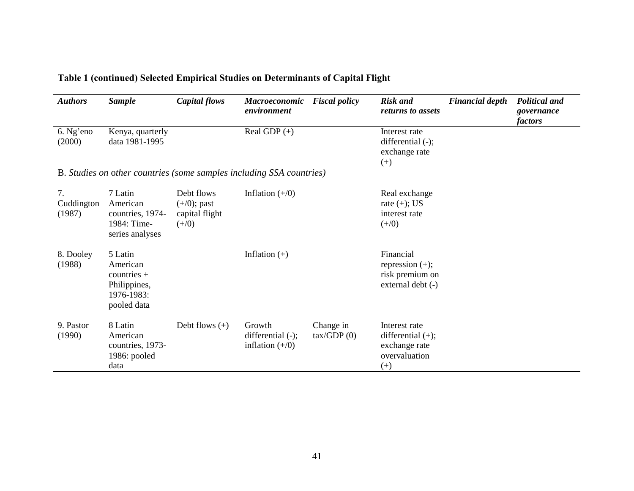| <b>Authors</b>             | <b>Sample</b>                                                                     | Capital flows                                             | <b>Macroeconomic</b><br>environment                                  | <b>Fiscal policy</b>             | <b>Risk and</b><br>returns to assets                                                | <b>Financial depth</b> | <b>Political and</b><br>governance<br>factors |
|----------------------------|-----------------------------------------------------------------------------------|-----------------------------------------------------------|----------------------------------------------------------------------|----------------------------------|-------------------------------------------------------------------------------------|------------------------|-----------------------------------------------|
| 6. Ng'eno<br>(2000)        | Kenya, quarterly<br>data 1981-1995                                                |                                                           | Real GDP $(+)$                                                       |                                  | Interest rate<br>differential (-);<br>exchange rate<br>$^{(+)}$                     |                        |                                               |
|                            |                                                                                   |                                                           | B. Studies on other countries (some samples including SSA countries) |                                  |                                                                                     |                        |                                               |
| 7.<br>Cuddington<br>(1987) | 7 Latin<br>American<br>countries, 1974-<br>1984: Time-<br>series analyses         | Debt flows<br>$(+/0)$ ; past<br>capital flight<br>$(+/0)$ | Inflation $(+/0)$                                                    |                                  | Real exchange<br>rate $(+)$ ; US<br>interest rate<br>$(+/0)$                        |                        |                                               |
| 8. Dooley<br>(1988)        | 5 Latin<br>American<br>countries $+$<br>Philippines,<br>1976-1983:<br>pooled data |                                                           | Inflation $(+)$                                                      |                                  | Financial<br>repression $(+)$ ;<br>risk premium on<br>external debt (-)             |                        |                                               |
| 9. Pastor<br>(1990)        | 8 Latin<br>American<br>countries, 1973-<br>1986: pooled<br>data                   | Debt flows $(+)$                                          | Growth<br>differential $(-)$ ;<br>inflation $(+/0)$                  | Change in<br>$\text{tax/GDP}(0)$ | Interest rate<br>differential $(+)$ ;<br>exchange rate<br>overvaluation<br>$^{(+)}$ |                        |                                               |

**Table 1 (continued) Selected Empirical Studies on Determinants of Capital Flight**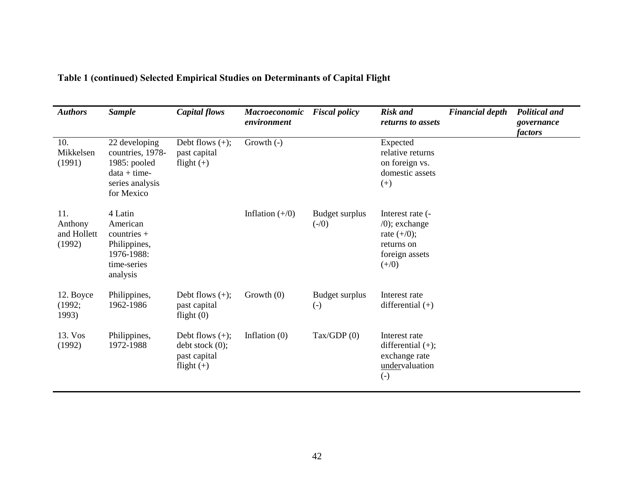| <b>Authors</b>                          | <b>Sample</b>                                                                                       | Capital flows                                                              | <b>Macroeconomic</b><br>environment | <b>Fiscal policy</b>                | <b>Risk and</b><br>returns to assets                                                              | <b>Financial depth</b> | <b>Political and</b><br>governance<br><i>factors</i> |
|-----------------------------------------|-----------------------------------------------------------------------------------------------------|----------------------------------------------------------------------------|-------------------------------------|-------------------------------------|---------------------------------------------------------------------------------------------------|------------------------|------------------------------------------------------|
| 10.<br>Mikkelsen<br>(1991)              | 22 developing<br>countries, 1978-<br>1985: pooled<br>$data + time$<br>series analysis<br>for Mexico | Debt flows $(+)$ ;<br>past capital<br>flight $(+)$                         | Growth $(-)$                        |                                     | Expected<br>relative returns<br>on foreign vs.<br>domestic assets<br>$^{(+)}$                     |                        |                                                      |
| 11.<br>Anthony<br>and Hollett<br>(1992) | 4 Latin<br>American<br>countries $+$<br>Philippines,<br>1976-1988:<br>time-series<br>analysis       |                                                                            | Inflation $(+/0)$                   | Budget surplus<br>$(-/0)$           | Interest rate (-<br>$(0)$ ; exchange<br>rate $(+/0)$ ;<br>returns on<br>foreign assets<br>$(+/0)$ |                        |                                                      |
| 12. Boyce<br>(1992;<br>1993)            | Philippines,<br>1962-1986                                                                           | Debt flows $(+)$ ;<br>past capital<br>flight $(0)$                         | Growth $(0)$                        | Budget surplus<br>$\left( -\right)$ | Interest rate<br>differential $(+)$                                                               |                        |                                                      |
| 13. Vos<br>(1992)                       | Philippines,<br>1972-1988                                                                           | Debt flows $(+)$ ;<br>$debt$ stock $(0)$ ;<br>past capital<br>flight $(+)$ | Inflation $(0)$                     | $\text{Tax/GDP}$ (0)                | Interest rate<br>differential $(+)$ ;<br>exchange rate<br>undervaluation<br>$\left( -\right)$     |                        |                                                      |

# **Table 1 (continued) Selected Empirical Studies on Determinants of Capital Flight**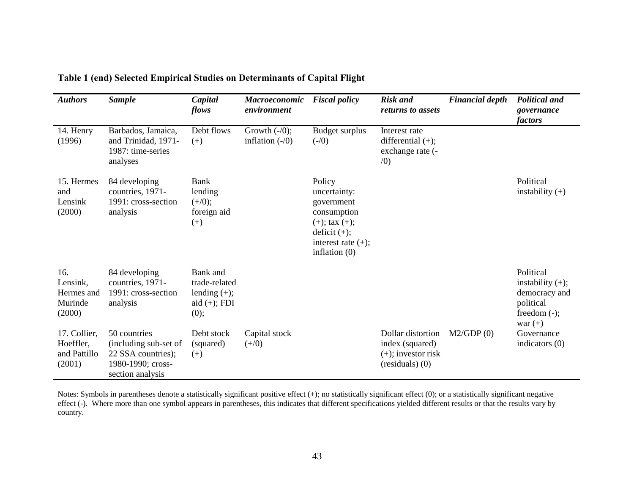| <b>Authors</b>                                      | <b>Sample</b>                                                                                        | Capital<br>flows                                                       | <b>Macroeconomic</b><br>environment   | <b>Fiscal policy</b>                                                                                                                    | <b>Risk</b> and<br>returns to assets                                                 | <b>Financial depth</b> | <b>Political and</b><br>governance<br>factors                                                 |
|-----------------------------------------------------|------------------------------------------------------------------------------------------------------|------------------------------------------------------------------------|---------------------------------------|-----------------------------------------------------------------------------------------------------------------------------------------|--------------------------------------------------------------------------------------|------------------------|-----------------------------------------------------------------------------------------------|
| 14. Henry<br>(1996)                                 | Barbados, Jamaica,<br>and Trinidad, 1971-<br>1987: time-series<br>analyses                           | Debt flows<br>$(+)$                                                    | Growth $(-/0)$ ;<br>inflation $(-/0)$ | <b>Budget surplus</b><br>$(-/0)$                                                                                                        | Interest rate<br>differential $(+)$ ;<br>exchange rate (-<br>(0)                     |                        |                                                                                               |
| 15. Hermes<br>and<br>Lensink<br>(2000)              | 84 developing<br>countries, 1971-<br>1991: cross-section<br>analysis                                 | Bank<br>lending<br>$(+/0);$<br>foreign aid<br>$^{(+)}$                 |                                       | Policy<br>uncertainty:<br>government<br>consumption<br>$(+);$ tax $(+);$<br>deficit $(+)$ ;<br>interest rate $(+)$ ;<br>inflation $(0)$ |                                                                                      |                        | Political<br>instability $(+)$                                                                |
| 16.<br>Lensink,<br>Hermes and<br>Murinde<br>(2000)  | 84 developing<br>countries, 1971-<br>1991: cross-section<br>analysis                                 | Bank and<br>trade-related<br>lending $(+);$<br>aid $(+)$ ; FDI<br>(0); |                                       |                                                                                                                                         |                                                                                      |                        | Political<br>instability $(+);$<br>democracy and<br>political<br>freedom $(-)$ ;<br>war $(+)$ |
| 17. Collier,<br>Hoeffler,<br>and Pattillo<br>(2001) | 50 countries<br>(including sub-set of<br>22 SSA countries);<br>1980-1990; cross-<br>section analysis | Debt stock<br>(squared)<br>$(+)$                                       | Capital stock<br>$(+/0)$              |                                                                                                                                         | Dollar distortion<br>index (squared)<br>$(+)$ ; investor risk<br>$(residuals)$ $(0)$ | M2/GDP(0)              | Governance<br>indicators $(0)$                                                                |

**Table 1 (end) Selected Empirical Studies on Determinants of Capital Flight** 

Notes: Symbols in parentheses denote a statistically significant positive effect (+); no statistically significant effect (0); or a statistically significant negative effect (-). Where more than one symbol appears in parentheses, this indicates that different specifications yielded different results or that the results vary by country.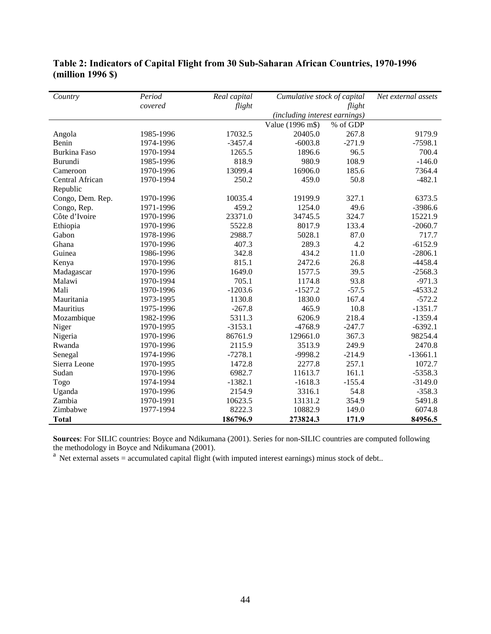| Country             | Period    | Real capital | Cumulative stock of capital   |          | Net external assets |
|---------------------|-----------|--------------|-------------------------------|----------|---------------------|
|                     | covered   | flight       |                               | flight   |                     |
|                     |           |              | (including interest earnings) |          |                     |
|                     |           |              | Value (1996 m\$)              | % of GDP |                     |
| Angola              | 1985-1996 | 17032.5      | 20405.0                       | 267.8    | 9179.9              |
| Benin               | 1974-1996 | $-3457.4$    | $-6003.8$                     | $-271.9$ | $-7598.1$           |
| <b>Burkina Faso</b> | 1970-1994 | 1265.5       | 1896.6                        | 96.5     | 700.4               |
| <b>Burundi</b>      | 1985-1996 | 818.9        | 980.9                         | 108.9    | $-146.0$            |
| Cameroon            | 1970-1996 | 13099.4      | 16906.0                       | 185.6    | 7364.4              |
| Central African     | 1970-1994 | 250.2        | 459.0                         | 50.8     | $-482.1$            |
| Republic            |           |              |                               |          |                     |
| Congo, Dem. Rep.    | 1970-1996 | 10035.4      | 19199.9                       | 327.1    | 6373.5              |
| Congo, Rep.         | 1971-1996 | 459.2        | 1254.0                        | 49.6     | $-3986.6$           |
| Côte d'Ivoire       | 1970-1996 | 23371.0      | 34745.5                       | 324.7    | 15221.9             |
| Ethiopia            | 1970-1996 | 5522.8       | 8017.9                        | 133.4    | $-2060.7$           |
| Gabon               | 1978-1996 | 2988.7       | 5028.1                        | 87.0     | 717.7               |
| Ghana               | 1970-1996 | 407.3        | 289.3                         | 4.2      | $-6152.9$           |
| Guinea              | 1986-1996 | 342.8        | 434.2                         | 11.0     | $-2806.1$           |
| Kenya               | 1970-1996 | 815.1        | 2472.6                        | 26.8     | $-4458.4$           |
| Madagascar          | 1970-1996 | 1649.0       | 1577.5                        | 39.5     | $-2568.3$           |
| Malawi              | 1970-1994 | 705.1        | 1174.8                        | 93.8     | $-971.3$            |
| Mali                | 1970-1996 | $-1203.6$    | $-1527.2$                     | $-57.5$  | $-4533.2$           |
| Mauritania          | 1973-1995 | 1130.8       | 1830.0                        | 167.4    | $-572.2$            |
| Mauritius           | 1975-1996 | $-267.8$     | 465.9                         | 10.8     | $-1351.7$           |
| Mozambique          | 1982-1996 | 5311.3       | 6206.9                        | 218.4    | $-1359.4$           |
| Niger               | 1970-1995 | $-3153.1$    | $-4768.9$                     | $-247.7$ | $-6392.1$           |
| Nigeria             | 1970-1996 | 86761.9      | 129661.0                      | 367.3    | 98254.4             |
| Rwanda              | 1970-1996 | 2115.9       | 3513.9                        | 249.9    | 2470.8              |
| Senegal             | 1974-1996 | $-7278.1$    | -9998.2                       | $-214.9$ | $-13661.1$          |
| Sierra Leone        | 1970-1995 | 1472.8       | 2277.8                        | 257.1    | 1072.7              |
| Sudan               | 1970-1996 | 6982.7       | 11613.7                       | 161.1    | $-5358.3$           |
| Togo                | 1974-1994 | $-1382.1$    | $-1618.3$                     | $-155.4$ | $-3149.0$           |
| Uganda              | 1970-1996 | 2154.9       | 3316.1                        | 54.8     | $-358.3$            |
| Zambia              | 1970-1991 | 10623.5      | 13131.2                       | 354.9    | 5491.8              |
| Zimbabwe            | 1977-1994 | 8222.3       | 10882.9                       | 149.0    | 6074.8              |
| <b>Total</b>        |           | 186796.9     | 273824.3                      | 171.9    | 84956.5             |

**Table 2: Indicators of Capital Flight from 30 Sub-Saharan African Countries, 1970-1996 (million 1996 \$)** 

**Sources**: For SILIC countries: Boyce and Ndikumana (2001). Series for non-SILIC countries are computed following the methodology in Boyce and Ndikumana (2001).

 $a<sup>a</sup>$  Net external assets = accumulated capital flight (with imputed interest earnings) minus stock of debt..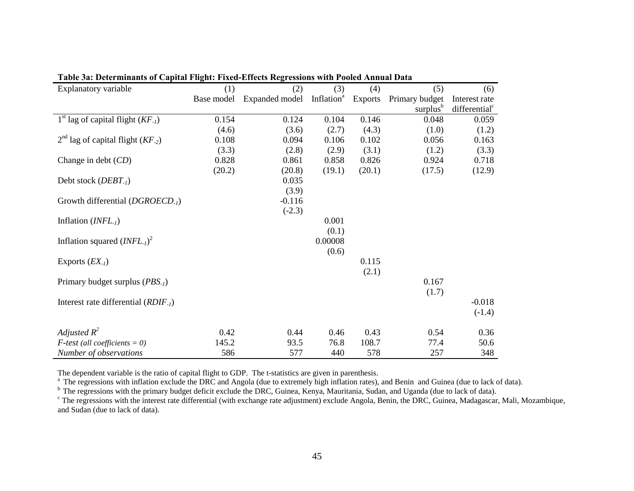| Explanatory variable                                   | (1)        | (2)            | (3)                    | (4)            | (5)                  | (6)                       |
|--------------------------------------------------------|------------|----------------|------------------------|----------------|----------------------|---------------------------|
|                                                        | Base model | Expanded model | Inflation <sup>a</sup> | <b>Exports</b> | Primary budget       | Interest rate             |
|                                                        |            |                |                        |                | surplus <sup>b</sup> | differential <sup>c</sup> |
| $1st$ lag of capital flight ( <i>KF<sub>-1</sub></i> ) | 0.154      | 0.124          | 0.104                  | 0.146          | 0.048                | 0.059                     |
|                                                        | (4.6)      | (3.6)          | (2.7)                  | (4.3)          | (1.0)                | (1.2)                     |
| $2^{nd}$ lag of capital flight (KF <sub>-2</sub> )     | 0.108      | 0.094          | 0.106                  | 0.102          | 0.056                | 0.163                     |
|                                                        | (3.3)      | (2.8)          | (2.9)                  | (3.1)          | (1.2)                | (3.3)                     |
| Change in debt $(CD)$                                  | 0.828      | 0.861          | 0.858                  | 0.826          | 0.924                | 0.718                     |
|                                                        | (20.2)     | (20.8)         | (19.1)                 | (20.1)         | (17.5)               | (12.9)                    |
| Debt stock $(DEBT_{-l})$                               |            | 0.035          |                        |                |                      |                           |
|                                                        |            | (3.9)          |                        |                |                      |                           |
| Growth differential $(DGROECD_{.1})$                   |            | $-0.116$       |                        |                |                      |                           |
|                                                        |            | $(-2.3)$       |                        |                |                      |                           |
| Inflation $(INFL-1)$                                   |            |                | 0.001                  |                |                      |                           |
|                                                        |            |                | (0.1)                  |                |                      |                           |
| Inflation squared $(INFL_{-1})^2$                      |            |                | 0.00008                |                |                      |                           |
|                                                        |            |                | (0.6)                  |                |                      |                           |
| Exports $(EX_1)$                                       |            |                |                        | 0.115          |                      |                           |
|                                                        |            |                |                        | (2.1)          |                      |                           |
| Primary budget surplus (PBS <sub>-1</sub> )            |            |                |                        |                | 0.167                |                           |
|                                                        |            |                |                        |                | (1.7)                |                           |
| Interest rate differential $(RDIF_{-1})$               |            |                |                        |                |                      | $-0.018$                  |
|                                                        |            |                |                        |                |                      | $(-1.4)$                  |
| Adjusted $R^2$                                         |            |                |                        |                |                      |                           |
|                                                        | 0.42       | 0.44           | 0.46                   | 0.43           | 0.54                 | 0.36                      |
| $F$ -test (all coefficients = 0)                       | 145.2      | 93.5           | 76.8                   | 108.7          | 77.4                 | 50.6                      |
| Number of observations                                 | 586        | 577            | 440                    | 578            | 257                  | 348                       |

|  |  | Table 3a: Determinants of Capital Flight: Fixed-Effects Regressions with Pooled Annual Data |  |
|--|--|---------------------------------------------------------------------------------------------|--|
|  |  |                                                                                             |  |

The dependent variable is the ratio of capital flight to GDP. The t-statistics are given in parenthesis.

<sup>a</sup> The regressions with inflation exclude the DRC and Angola (due to extremely high inflation rates), and Benin and Guinea (due to lack of data).

<sup>b</sup> The regressions with the primary budget deficit exclude the DRC, Guinea, Kenya, Mauritania, Sudan, and Uganda (due to lack of data).<br><sup>c</sup> The regressions with the interest rate differential (with exchange rate adjustmen and Sudan (due to lack of data).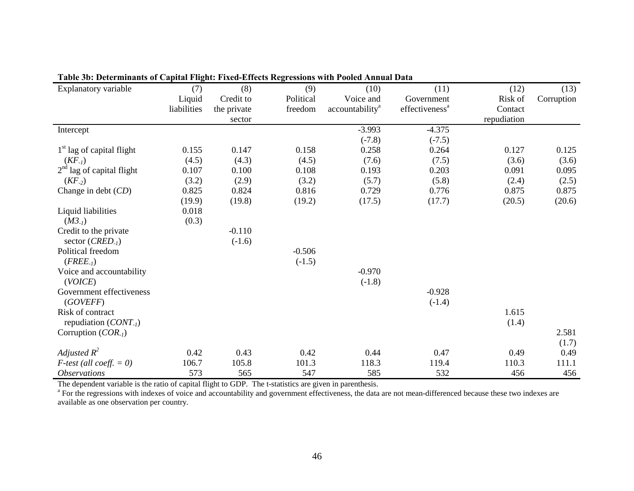| Explanatory variable              | (7)         | (8)         | (9)       | (10)                        | (11)                       | (12)        | (13)       |
|-----------------------------------|-------------|-------------|-----------|-----------------------------|----------------------------|-------------|------------|
|                                   | Liquid      | Credit to   | Political | Voice and                   | Government                 | Risk of     | Corruption |
|                                   | liabilities | the private | freedom   | accountability <sup>a</sup> | effectiveness <sup>a</sup> | Contact     |            |
|                                   |             | sector      |           |                             |                            | repudiation |            |
| Intercept                         |             |             |           | $-3.993$                    | $-4.375$                   |             |            |
|                                   |             |             |           | $(-7.8)$                    | $(-7.5)$                   |             |            |
| $1st$ lag of capital flight       | 0.155       | 0.147       | 0.158     | 0.258                       | 0.264                      | 0.127       | 0.125      |
| $(KF_{-1})$                       | (4.5)       | (4.3)       | (4.5)     | (7.6)                       | (7.5)                      | (3.6)       | (3.6)      |
| $2nd$ lag of capital flight       | 0.107       | 0.100       | 0.108     | 0.193                       | 0.203                      | 0.091       | 0.095      |
| $(KF_{-2})$                       | (3.2)       | (2.9)       | (3.2)     | (5.7)                       | (5.8)                      | (2.4)       | (2.5)      |
| Change in debt $(CD)$             | 0.825       | 0.824       | 0.816     | 0.729                       | 0.776                      | 0.875       | 0.875      |
|                                   | (19.9)      | (19.8)      | (19.2)    | (17.5)                      | (17.7)                     | (20.5)      | (20.6)     |
| Liquid liabilities                | 0.018       |             |           |                             |                            |             |            |
| $(M3_{-1})$                       | (0.3)       |             |           |                             |                            |             |            |
| Credit to the private             |             | $-0.110$    |           |                             |                            |             |            |
| sector $(CRED_{-1})$              |             | $(-1.6)$    |           |                             |                            |             |            |
| Political freedom                 |             |             | $-0.506$  |                             |                            |             |            |
| $(FREE_{-1})$                     |             |             | $(-1.5)$  |                             |                            |             |            |
| Voice and accountability          |             |             |           | $-0.970$                    |                            |             |            |
| (VOICE)                           |             |             |           | $(-1.8)$                    |                            |             |            |
| Government effectiveness          |             |             |           |                             | $-0.928$                   |             |            |
| (GOVEFF)                          |             |             |           |                             | $(-1.4)$                   |             |            |
| Risk of contract                  |             |             |           |                             |                            | 1.615       |            |
| repudiation $(CONT_{-l})$         |             |             |           |                             |                            | (1.4)       |            |
| Corruption $(COR_{-1})$           |             |             |           |                             |                            |             | 2.581      |
|                                   |             |             |           |                             |                            |             | (1.7)      |
| Adjusted $R^2$                    | 0.42        | 0.43        | 0.42      | 0.44                        | 0.47                       | 0.49        | 0.49       |
| <i>F-test</i> (all coeff. $= 0$ ) | 106.7       | 105.8       | 101.3     | 118.3                       | 119.4                      | 110.3       | 111.1      |
| <i><b>Observations</b></i>        | 573         | 565         | 547       | 585                         | 532                        | 456         | 456        |

# **Table 3b: Determinants of Capital Flight: Fixed-Effects Regressions with Pooled Annual Data**

The dependent variable is the ratio of capital flight to GDP. The t-statistics are given in parenthesis.

<sup>a</sup> For the regressions with indexes of voice and accountability and government effectiveness, the data are not mean-differenced because these two indexes are available as one observation per country.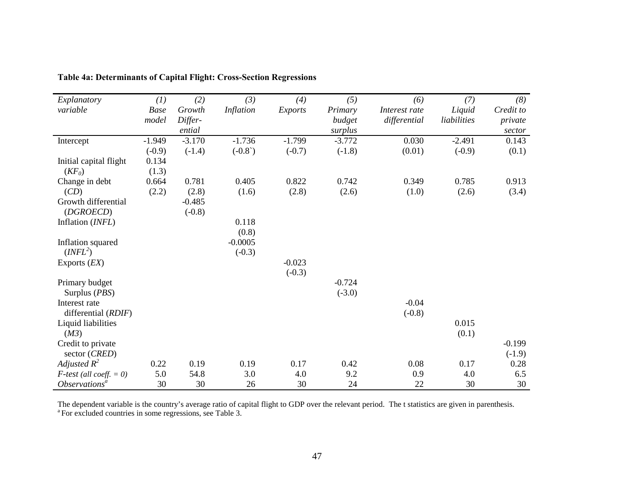| Explanatory                        | (1)         | (2)      | (3)              | (4)            | (5)      | (6)           | (7)         | (8)                  |
|------------------------------------|-------------|----------|------------------|----------------|----------|---------------|-------------|----------------------|
| variable                           | <b>Base</b> | Growth   | <i>Inflation</i> | <b>Exports</b> | Primary  | Interest rate | Liquid      | Credit to            |
|                                    | model       | Differ-  |                  |                | budget   | differential  | liabilities | private              |
|                                    |             | ential   |                  |                | surplus  |               |             | sector               |
| Intercept                          | $-1.949$    | $-3.170$ | $-1.736$         | $-1.799$       | $-3.772$ | 0.030         | $-2.491$    | 0.143                |
|                                    | $(-0.9)$    | $(-1.4)$ | $(-0.8^{\circ})$ | $(-0.7)$       | $(-1.8)$ | (0.01)        | $(-0.9)$    | (0.1)                |
| Initial capital flight             | 0.134       |          |                  |                |          |               |             |                      |
| $(KF_0)$                           | (1.3)       |          |                  |                |          |               |             |                      |
| Change in debt                     | 0.664       | 0.781    | 0.405            | 0.822          | 0.742    | 0.349         | 0.785       | 0.913                |
| (CD)                               | (2.2)       | (2.8)    | (1.6)            | (2.8)          | (2.6)    | (1.0)         | (2.6)       | (3.4)                |
| Growth differential                |             | $-0.485$ |                  |                |          |               |             |                      |
| (DGROECD)                          |             | $(-0.8)$ |                  |                |          |               |             |                      |
| Inflation (INFL)                   |             |          | 0.118            |                |          |               |             |                      |
|                                    |             |          | (0.8)            |                |          |               |             |                      |
| Inflation squared                  |             |          | $-0.0005$        |                |          |               |             |                      |
| ( <i>INFL</i> <sup>2</sup> )       |             |          | $(-0.3)$         |                |          |               |             |                      |
| Exports $(EX)$                     |             |          |                  | $-0.023$       |          |               |             |                      |
|                                    |             |          |                  | $(-0.3)$       |          |               |             |                      |
| Primary budget                     |             |          |                  |                | $-0.724$ |               |             |                      |
| Surplus (PBS)                      |             |          |                  |                | $(-3.0)$ |               |             |                      |
| Interest rate                      |             |          |                  |                |          | $-0.04$       |             |                      |
| differential (RDIF)                |             |          |                  |                |          | $(-0.8)$      |             |                      |
| Liquid liabilities                 |             |          |                  |                |          |               | 0.015       |                      |
| (M3)                               |             |          |                  |                |          |               | (0.1)       |                      |
| Credit to private<br>sector (CRED) |             |          |                  |                |          |               |             | $-0.199$<br>$(-1.9)$ |
| Adjusted $R^2$                     | 0.22        | 0.19     | 0.19             | 0.17           | 0.42     | 0.08          | 0.17        | 0.28                 |
| $F$ -test (all coeff. = 0)         | 5.0         | 54.8     | 3.0              | 4.0            | 9.2      | 0.9           | 4.0         | 6.5                  |
| Observations <sup>a</sup>          | 30          | 30       | 26               | 30             | 24       | 22            | 30          | 30                   |

**Table 4a: Determinants of Capital Flight: Cross-Section Regressions** 

The dependent variable is the country's average ratio of capital flight to GDP over the relevant period. The t statistics are given in parenthesis. <sup>a</sup> For excluded countries in some regressions, see Table 3.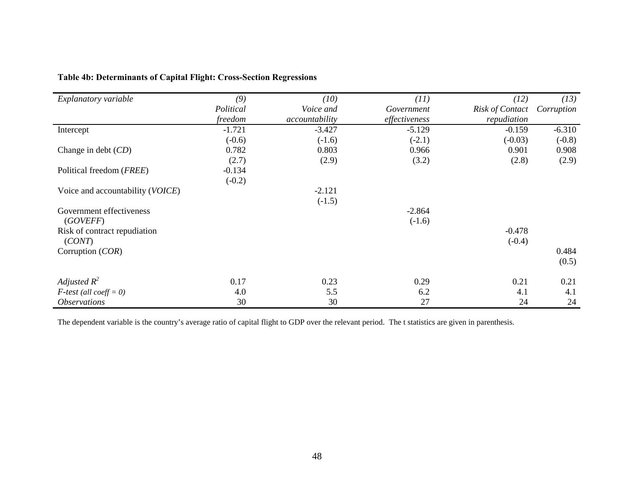| Explanatory variable             | (9)       | (10)           | (11)          | (12)                   | (13)       |
|----------------------------------|-----------|----------------|---------------|------------------------|------------|
|                                  | Political | Voice and      | Government    | <b>Risk of Contact</b> | Corruption |
|                                  | freedom   | accountability | effectiveness | repudiation            |            |
| Intercept                        | $-1.721$  | $-3.427$       | $-5.129$      | $-0.159$               | $-6.310$   |
|                                  | $(-0.6)$  | $(-1.6)$       | $(-2.1)$      | $(-0.03)$              | $(-0.8)$   |
| Change in debt $(CD)$            | 0.782     | 0.803          | 0.966         | 0.901                  | 0.908      |
|                                  | (2.7)     | (2.9)          | (3.2)         | (2.8)                  | (2.9)      |
| Political freedom (FREE)         | $-0.134$  |                |               |                        |            |
|                                  | $(-0.2)$  |                |               |                        |            |
| Voice and accountability (VOICE) |           | $-2.121$       |               |                        |            |
|                                  |           | $(-1.5)$       |               |                        |            |
| Government effectiveness         |           |                | $-2.864$      |                        |            |
| (GOVEFF)                         |           |                | $(-1.6)$      |                        |            |
| Risk of contract repudiation     |           |                |               | $-0.478$               |            |
| (CONT)                           |           |                |               | $(-0.4)$               |            |
| Corruption (COR)                 |           |                |               |                        | 0.484      |
|                                  |           |                |               |                        | (0.5)      |
| Adjusted $R^2$                   | 0.17      | 0.23           | 0.29          | 0.21                   | 0.21       |
| $F$ -test (all coeff = 0)        | 4.0       | 5.5            | 6.2           | 4.1                    | 4.1        |

24

# **Table 4b: Determinants of Capital Flight: Cross-Section Regressions**

The dependent variable is the country's average ratio of capital flight to GDP over the relevant period. The t statistics are given in parenthesis.

*Observations* 24 24 24 24 25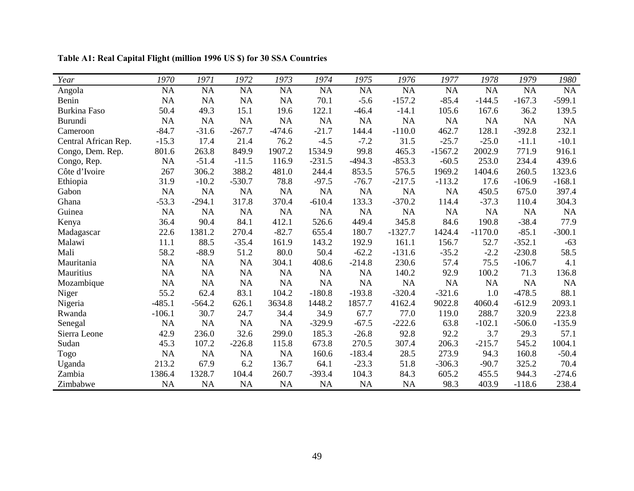| Year                 | 1970      | 1971      | 1972      | 1973      | 1974      | 1975     | 1976            | 1977      | 1978      | 1979      | 1980      |
|----------------------|-----------|-----------|-----------|-----------|-----------|----------|-----------------|-----------|-----------|-----------|-----------|
| Angola               | NA        | <b>NA</b> | NA        | <b>NA</b> | <b>NA</b> | $\rm NA$ | $\overline{NA}$ | NA        | NA        | NA        | $\rm NA$  |
| Benin                | NA        | <b>NA</b> | <b>NA</b> | <b>NA</b> | 70.1      | $-5.6$   | $-157.2$        | $-85.4$   | $-144.5$  | $-167.3$  | $-599.1$  |
| <b>Burkina Faso</b>  | 50.4      | 49.3      | 15.1      | 19.6      | 122.1     | $-46.4$  | $-14.1$         | 105.6     | 167.6     | 36.2      | 139.5     |
| <b>Burundi</b>       | NA        | <b>NA</b> | <b>NA</b> | NA        | <b>NA</b> | NA       | NA              | NA        | NA        | <b>NA</b> | NA        |
| Cameroon             | $-84.7$   | $-31.6$   | $-267.7$  | $-474.6$  | $-21.7$   | 144.4    | $-110.0$        | 462.7     | 128.1     | $-392.8$  | 232.1     |
| Central African Rep. | $-15.3$   | 17.4      | 21.4      | 76.2      | $-4.5$    | $-7.2$   | 31.5            | $-25.7$   | $-25.0$   | $-11.1$   | $-10.1$   |
| Congo, Dem. Rep.     | 801.6     | 263.8     | 849.9     | 1907.2    | 1534.9    | 99.8     | 465.3           | $-1567.2$ | 2002.9    | 771.9     | 916.1     |
| Congo, Rep.          | NA        | $-51.4$   | $-11.5$   | 116.9     | $-231.5$  | $-494.3$ | $-853.3$        | $-60.5$   | 253.0     | 234.4     | 439.6     |
| Côte d'Ivoire        | 267       | 306.2     | 388.2     | 481.0     | 244.4     | 853.5    | 576.5           | 1969.2    | 1404.6    | 260.5     | 1323.6    |
| Ethiopia             | 31.9      | $-10.2$   | $-530.7$  | 78.8      | $-97.5$   | $-76.7$  | $-217.5$        | $-113.2$  | 17.6      | $-106.9$  | $-168.1$  |
| Gabon                | <b>NA</b> | <b>NA</b> | <b>NA</b> | NA        | <b>NA</b> | NA       | NA              | <b>NA</b> | 450.5     | 675.0     | 397.4     |
| Ghana                | $-53.3$   | $-294.1$  | 317.8     | 370.4     | $-610.4$  | 133.3    | $-370.2$        | 114.4     | $-37.3$   | 110.4     | 304.3     |
| Guinea               | NA        | <b>NA</b> | <b>NA</b> | NA        | NA        | NA       | <b>NA</b>       | NA        | NA        | NA        | <b>NA</b> |
| Kenya                | 36.4      | 90.4      | 84.1      | 412.1     | 526.6     | 449.4    | 345.8           | 84.6      | 190.8     | $-38.4$   | 77.9      |
| Madagascar           | 22.6      | 1381.2    | 270.4     | $-82.7$   | 655.4     | 180.7    | $-1327.7$       | 1424.4    | $-1170.0$ | $-85.1$   | $-300.1$  |
| Malawi               | 11.1      | 88.5      | $-35.4$   | 161.9     | 143.2     | 192.9    | 161.1           | 156.7     | 52.7      | $-352.1$  | $-63$     |
| Mali                 | 58.2      | $-88.9$   | 51.2      | 80.0      | 50.4      | $-62.2$  | $-131.6$        | $-35.2$   | $-2.2$    | $-230.8$  | 58.5      |
| Mauritania           | <b>NA</b> | <b>NA</b> | <b>NA</b> | 304.1     | 408.6     | $-214.8$ | 230.6           | 57.4      | 75.5      | $-106.7$  | 4.1       |
| Mauritius            | NA        | <b>NA</b> | NA        | NA        | NA        | NA       | 140.2           | 92.9      | 100.2     | 71.3      | 136.8     |
| Mozambique           | NA        | <b>NA</b> | <b>NA</b> | NA        | <b>NA</b> | NA       | NA              | NA        | NA        | <b>NA</b> | NA        |
| Niger                | 55.2      | 62.4      | 83.1      | 104.2     | $-180.8$  | $-193.8$ | $-320.4$        | $-321.6$  | 1.0       | $-478.5$  | 88.1      |
| Nigeria              | $-485.1$  | $-564.2$  | 626.1     | 3634.8    | 1448.2    | 1857.7   | 4162.4          | 9022.8    | 4060.4    | $-612.9$  | 2093.1    |
| Rwanda               | $-106.1$  | 30.7      | 24.7      | 34.4      | 34.9      | 67.7     | 77.0            | 119.0     | 288.7     | 320.9     | 223.8     |
| Senegal              | NA        | <b>NA</b> | <b>NA</b> | NA        | $-329.9$  | $-67.5$  | $-222.6$        | 63.8      | $-102.1$  | $-506.0$  | $-135.9$  |
| Sierra Leone         | 42.9      | 236.0     | 32.6      | 299.0     | 185.3     | $-26.8$  | 92.8            | 92.2      | 3.7       | 29.3      | 57.1      |
| Sudan                | 45.3      | 107.2     | $-226.8$  | 115.8     | 673.8     | 270.5    | 307.4           | 206.3     | $-215.7$  | 545.2     | 1004.1    |
| Togo                 | <b>NA</b> | <b>NA</b> | <b>NA</b> | <b>NA</b> | 160.6     | $-183.4$ | 28.5            | 273.9     | 94.3      | 160.8     | $-50.4$   |
| Uganda               | 213.2     | 67.9      | 6.2       | 136.7     | 64.1      | $-23.3$  | 51.8            | $-306.3$  | $-90.7$   | 325.2     | 70.4      |
| Zambia               | 1386.4    | 1328.7    | 104.4     | 260.7     | $-393.4$  | 104.3    | 84.3            | 605.2     | 455.5     | 944.3     | $-274.6$  |
| Zimbabwe             | NA        | <b>NA</b> | <b>NA</b> | <b>NA</b> | NA        | NA       | <b>NA</b>       | 98.3      | 403.9     | $-118.6$  | 238.4     |

**Table A1: Real Capital Flight (million 1996 US \$) for 30 SSA Countries**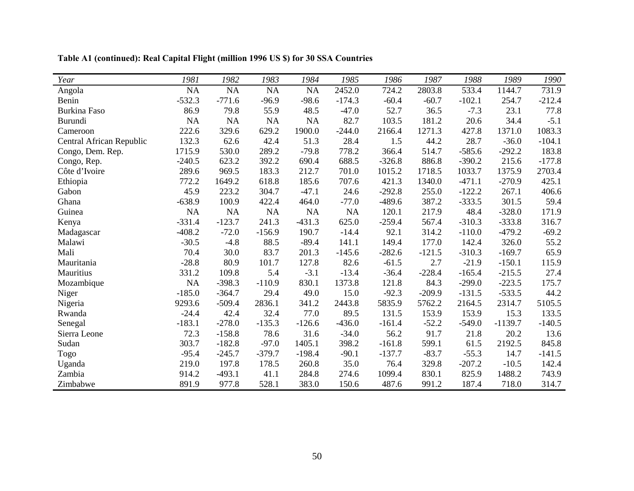| Year                     | 1981      | 1982      | 1983      | 1984      | 1985     | 1986     | 1987     | 1988     | 1989      | 1990     |
|--------------------------|-----------|-----------|-----------|-----------|----------|----------|----------|----------|-----------|----------|
| Angola                   | <b>NA</b> | NA        | NA        | <b>NA</b> | 2452.0   | 724.2    | 2803.8   | 533.4    | 1144.7    | 731.9    |
| Benin                    | $-532.3$  | $-771.6$  | $-96.9$   | $-98.6$   | $-174.3$ | $-60.4$  | $-60.7$  | $-102.1$ | 254.7     | $-212.4$ |
| <b>Burkina Faso</b>      | 86.9      | 79.8      | 55.9      | 48.5      | $-47.0$  | 52.7     | 36.5     | $-7.3$   | 23.1      | 77.8     |
| Burundi                  | NA        | <b>NA</b> | NA        | <b>NA</b> | 82.7     | 103.5    | 181.2    | 20.6     | 34.4      | $-5.1$   |
| Cameroon                 | 222.6     | 329.6     | 629.2     | 1900.0    | $-244.0$ | 2166.4   | 1271.3   | 427.8    | 1371.0    | 1083.3   |
| Central African Republic | 132.3     | 62.6      | 42.4      | 51.3      | 28.4     | 1.5      | 44.2     | 28.7     | $-36.0$   | $-104.1$ |
| Congo, Dem. Rep.         | 1715.9    | 530.0     | 289.2     | $-79.8$   | 778.2    | 366.4    | 514.7    | $-585.6$ | $-292.2$  | 183.8    |
| Congo, Rep.              | $-240.5$  | 623.2     | 392.2     | 690.4     | 688.5    | $-326.8$ | 886.8    | $-390.2$ | 215.6     | $-177.8$ |
| Côte d'Ivoire            | 289.6     | 969.5     | 183.3     | 212.7     | 701.0    | 1015.2   | 1718.5   | 1033.7   | 1375.9    | 2703.4   |
| Ethiopia                 | 772.2     | 1649.2    | 618.8     | 185.6     | 707.6    | 421.3    | 1340.0   | $-471.1$ | $-270.9$  | 425.1    |
| Gabon                    | 45.9      | 223.2     | 304.7     | $-47.1$   | 24.6     | $-292.8$ | 255.0    | $-122.2$ | 267.1     | 406.6    |
| Ghana                    | $-638.9$  | 100.9     | 422.4     | 464.0     | $-77.0$  | $-489.6$ | 387.2    | $-333.5$ | 301.5     | 59.4     |
| Guinea                   | <b>NA</b> | <b>NA</b> | <b>NA</b> | NA        | NA       | 120.1    | 217.9    | 48.4     | $-328.0$  | 171.9    |
| Kenya                    | $-331.4$  | $-123.7$  | 241.3     | $-431.3$  | 625.0    | $-259.4$ | 567.4    | $-310.3$ | $-333.8$  | 316.7    |
| Madagascar               | $-408.2$  | $-72.0$   | $-156.9$  | 190.7     | $-14.4$  | 92.1     | 314.2    | $-110.0$ | $-479.2$  | $-69.2$  |
| Malawi                   | $-30.5$   | $-4.8$    | 88.5      | $-89.4$   | 141.1    | 149.4    | 177.0    | 142.4    | 326.0     | 55.2     |
| Mali                     | 70.4      | 30.0      | 83.7      | 201.3     | $-145.6$ | $-282.6$ | $-121.5$ | $-310.3$ | $-169.7$  | 65.9     |
| Mauritania               | $-28.8$   | 80.9      | 101.7     | 127.8     | 82.6     | $-61.5$  | 2.7      | $-21.9$  | $-150.1$  | 115.9    |
| Mauritius                | 331.2     | 109.8     | 5.4       | $-3.1$    | $-13.4$  | $-36.4$  | $-228.4$ | $-165.4$ | $-215.5$  | 27.4     |
| Mozambique               | NA        | $-398.3$  | $-110.9$  | 830.1     | 1373.8   | 121.8    | 84.3     | $-299.0$ | $-223.5$  | 175.7    |
| Niger                    | $-185.0$  | $-364.7$  | 29.4      | 49.0      | 15.0     | $-92.3$  | $-209.9$ | $-131.5$ | $-533.5$  | 44.2     |
| Nigeria                  | 9293.6    | $-509.4$  | 2836.1    | 341.2     | 2443.8   | 5835.9   | 5762.2   | 2164.5   | 2314.7    | 5105.5   |
| Rwanda                   | $-24.4$   | 42.4      | 32.4      | 77.0      | 89.5     | 131.5    | 153.9    | 153.9    | 15.3      | 133.5    |
| Senegal                  | $-183.1$  | $-278.0$  | $-135.3$  | $-126.6$  | $-436.0$ | $-161.4$ | $-52.2$  | $-549.0$ | $-1139.7$ | $-140.5$ |
| Sierra Leone             | 72.3      | $-158.8$  | 78.6      | 31.6      | $-34.0$  | 56.2     | 91.7     | 21.8     | 20.2      | 13.6     |
| Sudan                    | 303.7     | $-182.8$  | $-97.0$   | 1405.1    | 398.2    | $-161.8$ | 599.1    | 61.5     | 2192.5    | 845.8    |
| Togo                     | $-95.4$   | $-245.7$  | $-379.7$  | $-198.4$  | $-90.1$  | $-137.7$ | $-83.7$  | $-55.3$  | 14.7      | $-141.5$ |
| Uganda                   | 219.0     | 197.8     | 178.5     | 260.8     | 35.0     | 76.4     | 329.8    | $-207.2$ | $-10.5$   | 142.4    |
| Zambia                   | 914.2     | $-493.1$  | 41.1      | 284.8     | 274.6    | 1099.4   | 830.1    | 825.9    | 1488.2    | 743.9    |
| Zimbabwe                 | 891.9     | 977.8     | 528.1     | 383.0     | 150.6    | 487.6    | 991.2    | 187.4    | 718.0     | 314.7    |

**Table A1 (continued): Real Capital Flight (million 1996 US \$) for 30 SSA Countries**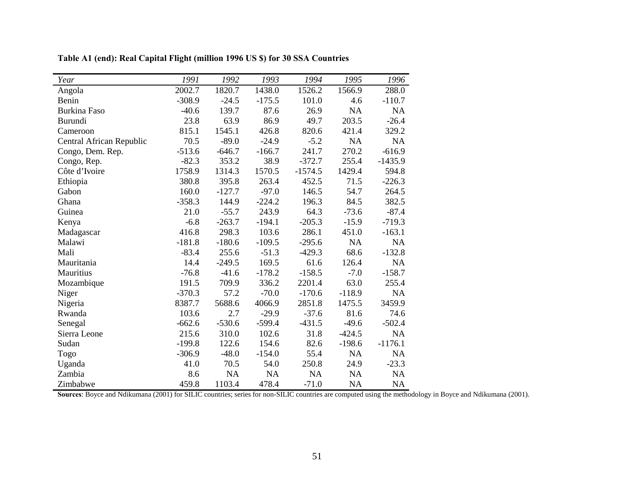| Year                     | 1991     | 1992      | 1993      | 1994      | 1995      | 1996      |
|--------------------------|----------|-----------|-----------|-----------|-----------|-----------|
| Angola                   | 2002.7   | 1820.7    | 1438.0    | 1526.2    | 1566.9    | 288.0     |
| Benin                    | $-308.9$ | $-24.5$   | $-175.5$  | 101.0     | 4.6       | $-110.7$  |
| <b>Burkina Faso</b>      | $-40.6$  | 139.7     | 87.6      | 26.9      | <b>NA</b> | NA        |
| Burundi                  | 23.8     | 63.9      | 86.9      | 49.7      | 203.5     | $-26.4$   |
| Cameroon                 | 815.1    | 1545.1    | 426.8     | 820.6     | 421.4     | 329.2     |
| Central African Republic | 70.5     | $-89.0$   | $-24.9$   | $-5.2$    | <b>NA</b> | <b>NA</b> |
| Congo, Dem. Rep.         | $-513.6$ | $-646.7$  | $-166.7$  | 241.7     | 270.2     | $-616.9$  |
| Congo, Rep.              | $-82.3$  | 353.2     | 38.9      | $-372.7$  | 255.4     | $-1435.9$ |
| Côte d'Ivoire            | 1758.9   | 1314.3    | 1570.5    | $-1574.5$ | 1429.4    | 594.8     |
| Ethiopia                 | 380.8    | 395.8     | 263.4     | 452.5     | 71.5      | $-226.3$  |
| Gabon                    | 160.0    | $-127.7$  | $-97.0$   | 146.5     | 54.7      | 264.5     |
| Ghana                    | $-358.3$ | 144.9     | $-224.2$  | 196.3     | 84.5      | 382.5     |
| Guinea                   | 21.0     | $-55.7$   | 243.9     | 64.3      | $-73.6$   | $-87.4$   |
| Kenya                    | $-6.8$   | $-263.7$  | $-194.1$  | $-205.3$  | $-15.9$   | $-719.3$  |
| Madagascar               | 416.8    | 298.3     | 103.6     | 286.1     | 451.0     | $-163.1$  |
| Malawi                   | $-181.8$ | $-180.6$  | $-109.5$  | $-295.6$  | <b>NA</b> | NA        |
| Mali                     | $-83.4$  | 255.6     | $-51.3$   | $-429.3$  | 68.6      | $-132.8$  |
| Mauritania               | 14.4     | $-249.5$  | 169.5     | 61.6      | 126.4     | NA        |
| Mauritius                | $-76.8$  | $-41.6$   | $-178.2$  | $-158.5$  | $-7.0$    | $-158.7$  |
| Mozambique               | 191.5    | 709.9     | 336.2     | 2201.4    | 63.0      | 255.4     |
| Niger                    | $-370.3$ | 57.2      | $-70.0$   | $-170.6$  | $-118.9$  | NA        |
| Nigeria                  | 8387.7   | 5688.6    | 4066.9    | 2851.8    | 1475.5    | 3459.9    |
| Rwanda                   | 103.6    | 2.7       | $-29.9$   | $-37.6$   | 81.6      | 74.6      |
| Senegal                  | $-662.6$ | $-530.6$  | $-599.4$  | $-431.5$  | $-49.6$   | $-502.4$  |
| Sierra Leone             | 215.6    | 310.0     | 102.6     | 31.8      | $-424.5$  | <b>NA</b> |
| Sudan                    | $-199.8$ | 122.6     | 154.6     | 82.6      | $-198.6$  | $-1176.1$ |
| Togo                     | $-306.9$ | $-48.0$   | $-154.0$  | 55.4      | NA        | NA        |
| Uganda                   | 41.0     | 70.5      | 54.0      | 250.8     | 24.9      | $-23.3$   |
| Zambia                   | 8.6      | <b>NA</b> | <b>NA</b> | <b>NA</b> | <b>NA</b> | <b>NA</b> |
| Zimbabwe                 | 459.8    | 1103.4    | 478.4     | $-71.0$   | <b>NA</b> | <b>NA</b> |

**Table A1 (end): Real Capital Flight (million 1996 US \$) for 30 SSA Countries** 

**Sources**: Boyce and Ndikumana (2001) for SILIC countries; series for non-SILIC countries are computed using the methodology in Boyce and Ndikumana (2001).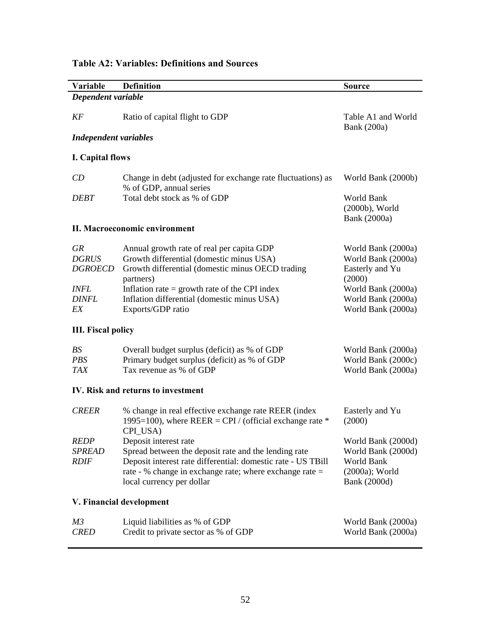# **Variable Definition Source**  *Dependent variable KF* Ratio of capital flight to GDP Table A1 and World Bank (200a) *Independent variables*  **I. Capital flows**  *CD* Change in debt (adjusted for exchange rate fluctuations) as % of GDP, annual series World Bank (2000b) **DEBT** Total debt stock as % of GDP World Bank (2000b), World Bank (2000a) **II. Macroeconomic environment**  *GR* Annual growth rate of real per capita GDP World Bank (2000a) *DGRUS* Growth differential (domestic minus USA) World Bank (2000a) DGROECD Growth differential (domestic minus OECD trading partners) Easterly and Yu (2000) *INFL* Inflation rate = growth rate of the CPI index World Bank (2000a) *DINFL* Inflation differential (domestic minus USA) World Bank (2000a) *EX* Exports/GDP ratio World Bank (2000a) **III. Fiscal policy**  *BS* Overall budget surplus (deficit) as % of GDP World Bank (2000a) *PBS* Primary budget surplus (deficit) as % of GDP World Bank (2000c) *TAX* Tax revenue as % of GDP World Bank (2000a) **IV. Risk and returns to investment**  *CREER* % change in real effective exchange rate REER (index 1995=100), where REER = CPI / (official exchange rate  $*$ CPI\_USA) Easterly and Yu (2000) *REDP* Deposit interest rate World Bank (2000d) *SPREAD* Spread between the deposit rate and the lending rate World Bank (2000d) *RDIF* Deposit interest rate differential: domestic rate - US TBill rate - % change in exchange rate; where exchange rate = local currency per dollar World Bank (2000a); World Bank (2000d) **V. Financial development**  *M3* Liquid liabilities as % of GDP World Bank (2000a) *CRED* Credit to private sector as % of GDP World Bank (2000a)

# **Table A2: Variables: Definitions and Sources**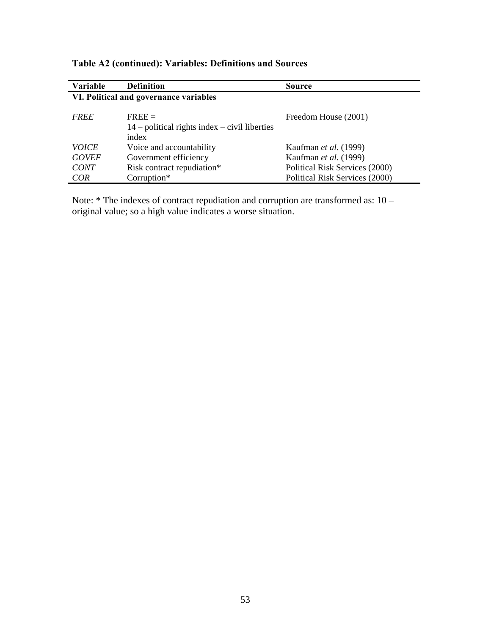| <b>Variable</b>                        | <b>Definition</b>                               | <b>Source</b>                  |  |  |  |  |  |  |  |  |  |
|----------------------------------------|-------------------------------------------------|--------------------------------|--|--|--|--|--|--|--|--|--|
| VI. Political and governance variables |                                                 |                                |  |  |  |  |  |  |  |  |  |
|                                        |                                                 |                                |  |  |  |  |  |  |  |  |  |
| <i>FREE</i>                            | $FREE =$                                        | Freedom House (2001)           |  |  |  |  |  |  |  |  |  |
|                                        | $14$ – political rights index – civil liberties |                                |  |  |  |  |  |  |  |  |  |
|                                        | index                                           |                                |  |  |  |  |  |  |  |  |  |
| <i>VOICE</i>                           | Voice and accountability                        | Kaufman <i>et al.</i> (1999)   |  |  |  |  |  |  |  |  |  |
| <b>GOVEF</b>                           | Government efficiency                           | Kaufman et al. (1999)          |  |  |  |  |  |  |  |  |  |
| <b>CONT</b>                            | Risk contract repudiation*                      | Political Risk Services (2000) |  |  |  |  |  |  |  |  |  |
| COR                                    | Corruption*                                     | Political Risk Services (2000) |  |  |  |  |  |  |  |  |  |

# **Table A2 (continued): Variables: Definitions and Sources**

Note: \* The indexes of contract repudiation and corruption are transformed as: 10 – original value; so a high value indicates a worse situation.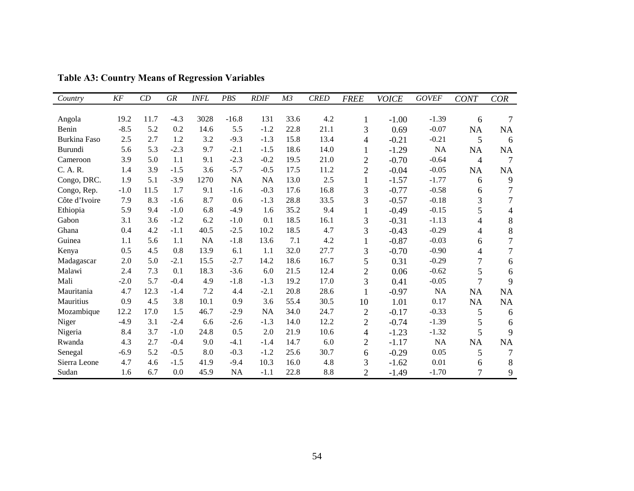| Country       | KF     | CD   | GR     | <b>INFL</b> | PBS       | <b>RDIF</b> | M <sub>3</sub> | <b>CRED</b> | <b>FREE</b>    | <b>VOICE</b> | <b>GOVEF</b> | <b>CONT</b>    | <b>COR</b>     |
|---------------|--------|------|--------|-------------|-----------|-------------|----------------|-------------|----------------|--------------|--------------|----------------|----------------|
|               |        |      |        |             |           |             |                |             |                |              |              |                |                |
| Angola        | 19.2   | 11.7 | $-4.3$ | 3028        | $-16.8$   | 131         | 33.6           | 4.2         | 1              | $-1.00$      | $-1.39$      | 6              |                |
| Benin         | $-8.5$ | 5.2  | 0.2    | 14.6        | 5.5       | $-1.2$      | 22.8           | 21.1        | 3              | 0.69         | $-0.07$      | NA             | NA             |
| Burkina Faso  | 2.5    | 2.7  | 1.2    | 3.2         | $-9.3$    | $-1.3$      | 15.8           | 13.4        | 4              | $-0.21$      | $-0.21$      | 5              | 6              |
| Burundi       | 5.6    | 5.3  | $-2.3$ | 9.7         | $-2.1$    | $-1.5$      | 18.6           | 14.0        | 1              | $-1.29$      | NA           | <b>NA</b>      | NA             |
| Cameroon      | 3.9    | 5.0  | 1.1    | 9.1         | $-2.3$    | $-0.2$      | 19.5           | 21.0        | $\overline{2}$ | $-0.70$      | $-0.64$      | 4              | $\tau$         |
| C. A. R.      | 1.4    | 3.9  | $-1.5$ | 3.6         | $-5.7$    | $-0.5$      | 17.5           | 11.2        | $\overline{2}$ | $-0.04$      | $-0.05$      | NA             | NA             |
| Congo, DRC.   | 1.9    | 5.1  | $-3.9$ | 1270        | <b>NA</b> | NA          | 13.0           | 2.5         | $\mathbf{1}$   | $-1.57$      | $-1.77$      | 6              | 9              |
| Congo, Rep.   | $-1.0$ | 11.5 | 1.7    | 9.1         | $-1.6$    | $-0.3$      | 17.6           | 16.8        | 3              | $-0.77$      | $-0.58$      | 6              | $\tau$         |
| Côte d'Ivoire | 7.9    | 8.3  | $-1.6$ | 8.7         | 0.6       | $-1.3$      | 28.8           | 33.5        | 3              | $-0.57$      | $-0.18$      | 3              | $\overline{7}$ |
| Ethiopia      | 5.9    | 9.4  | $-1.0$ | 6.8         | $-4.9$    | 1.6         | 35.2           | 9.4         | 1              | $-0.49$      | $-0.15$      | 5              | 4              |
| Gabon         | 3.1    | 3.6  | $-1.2$ | 6.2         | $-1.0$    | 0.1         | 18.5           | 16.1        | 3              | $-0.31$      | $-1.13$      | 4              | $8\,$          |
| Ghana         | 0.4    | 4.2  | $-1.1$ | 40.5        | $-2.5$    | 10.2        | 18.5           | 4.7         | 3              | $-0.43$      | $-0.29$      | $\overline{4}$ | 8              |
| Guinea        | 1.1    | 5.6  | 1.1    | NA          | $-1.8$    | 13.6        | 7.1            | 4.2         | $\mathbf{1}$   | $-0.87$      | $-0.03$      | 6              | $\overline{7}$ |
| Kenya         | 0.5    | 4.5  | 0.8    | 13.9        | 6.1       | 1.1         | 32.0           | 27.7        | 3              | $-0.70$      | $-0.90$      | 4              | 7              |
| Madagascar    | 2.0    | 5.0  | $-2.1$ | 15.5        | $-2.7$    | 14.2        | 18.6           | 16.7        | 5              | 0.31         | $-0.29$      | $\overline{7}$ | 6              |
| Malawi        | 2.4    | 7.3  | 0.1    | 18.3        | $-3.6$    | 6.0         | 21.5           | 12.4        | $\overline{2}$ | 0.06         | $-0.62$      | 5              | 6              |
| Mali          | $-2.0$ | 5.7  | $-0.4$ | 4.9         | $-1.8$    | $-1.3$      | 19.2           | 17.0        | 3              | 0.41         | $-0.05$      | $\overline{7}$ | 9              |
| Mauritania    | 4.7    | 12.3 | $-1.4$ | 7.2         | 4.4       | $-2.1$      | 20.8           | 28.6        | $\mathbf{1}$   | $-0.97$      | NA           | NA             | NA             |
| Mauritius     | 0.9    | 4.5  | 3.8    | 10.1        | 0.9       | 3.6         | 55.4           | 30.5        | 10             | 1.01         | 0.17         | NA             | NA             |
| Mozambique    | 12.2   | 17.0 | 1.5    | 46.7        | $-2.9$    | NA          | 34.0           | 24.7        | $\mathfrak{2}$ | $-0.17$      | $-0.33$      | 5              | 6              |
| Niger         | $-4.9$ | 3.1  | $-2.4$ | 6.6         | $-2.6$    | $-1.3$      | 14.0           | 12.2        | $\overline{2}$ | $-0.74$      | $-1.39$      | 5              | 6              |
| Nigeria       | 8.4    | 3.7  | $-1.0$ | 24.8        | 0.5       | 2.0         | 21.9           | 10.6        | 4              | $-1.23$      | $-1.32$      | 5              | 9              |
| Rwanda        | 4.3    | 2.7  | $-0.4$ | 9.0         | $-4.1$    | $-1.4$      | 14.7           | 6.0         | $\overline{2}$ | $-1.17$      | NA           | NA             | NA             |
| Senegal       | $-6.9$ | 5.2  | $-0.5$ | 8.0         | $-0.3$    | $-1.2$      | 25.6           | 30.7        | 6              | $-0.29$      | 0.05         | 5              | $\overline{7}$ |
| Sierra Leone  | 4.7    | 4.6  | $-1.5$ | 41.9        | $-9.4$    | 10.3        | 16.0           | 4.8         | 3              | $-1.62$      | 0.01         | 6              | 8              |
| Sudan         | 1.6    | 6.7  | 0.0    | 45.9        | NA        | $-1.1$      | 22.8           | 8.8         | $\overline{2}$ | $-1.49$      | $-1.70$      | 7              | 9              |

**Table A3: Country Means of Regression Variables**